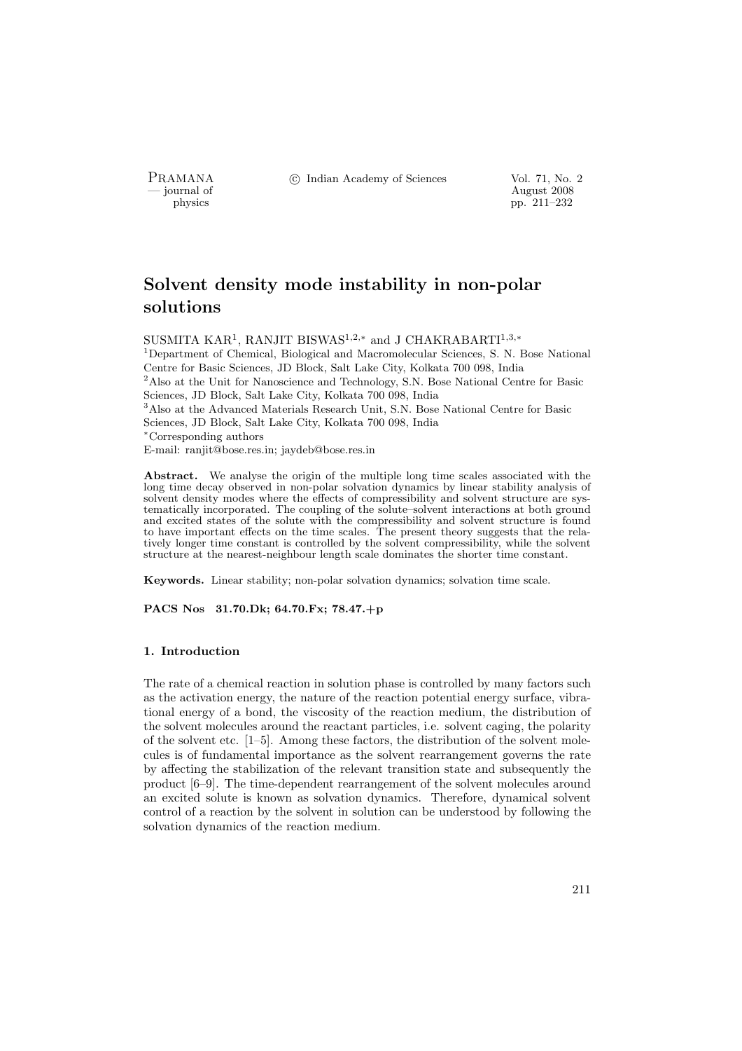PRAMANA °c Indian Academy of Sciences Vol. 71, No. 2

physics and the contract of the contract of the contract  $\frac{1}{2008}$  pp. 211–232 physics pp. 211–232

# Solvent density mode instability in non-polar solutions

SUSMITA KAR<sup>1</sup>, RANJIT BISWAS<sup>1,2,∗</sup> and J CHAKRABARTI<sup>1,3,</sup>\*

<sup>1</sup>Department of Chemical, Biological and Macromolecular Sciences, S. N. Bose National Centre for Basic Sciences, JD Block, Salt Lake City, Kolkata 700 098, India  $2$ Also at the Unit for Nanoscience and Technology, S.N. Bose National Centre for Basic Sciences, JD Block, Salt Lake City, Kolkata 700 098, India <sup>3</sup>Also at the Advanced Materials Research Unit, S.N. Bose National Centre for Basic Sciences, JD Block, Salt Lake City, Kolkata 700 098, India <sup>∗</sup>Corresponding authors E-mail: ranjit@bose.res.in; jaydeb@bose.res.in

Abstract. We analyse the origin of the multiple long time scales associated with the long time decay observed in non-polar solvation dynamics by linear stability analysis of solvent density modes where the effects of compressibility and solvent structure are systematically incorporated. The coupling of the solute–solvent interactions at both ground and excited states of the solute with the compressibility and solvent structure is found to have important effects on the time scales. The present theory suggests that the relatively longer time constant is controlled by the solvent compressibility, while the solvent structure at the nearest-neighbour length scale dominates the shorter time constant.

Keywords. Linear stability; non-polar solvation dynamics; solvation time scale.

PACS Nos 31.70.Dk; 64.70.Fx; 78.47.+p

## 1. Introduction

The rate of a chemical reaction in solution phase is controlled by many factors such as the activation energy, the nature of the reaction potential energy surface, vibrational energy of a bond, the viscosity of the reaction medium, the distribution of the solvent molecules around the reactant particles, i.e. solvent caging, the polarity of the solvent etc. [1–5]. Among these factors, the distribution of the solvent molecules is of fundamental importance as the solvent rearrangement governs the rate by affecting the stabilization of the relevant transition state and subsequently the product [6–9]. The time-dependent rearrangement of the solvent molecules around an excited solute is known as solvation dynamics. Therefore, dynamical solvent control of a reaction by the solvent in solution can be understood by following the solvation dynamics of the reaction medium.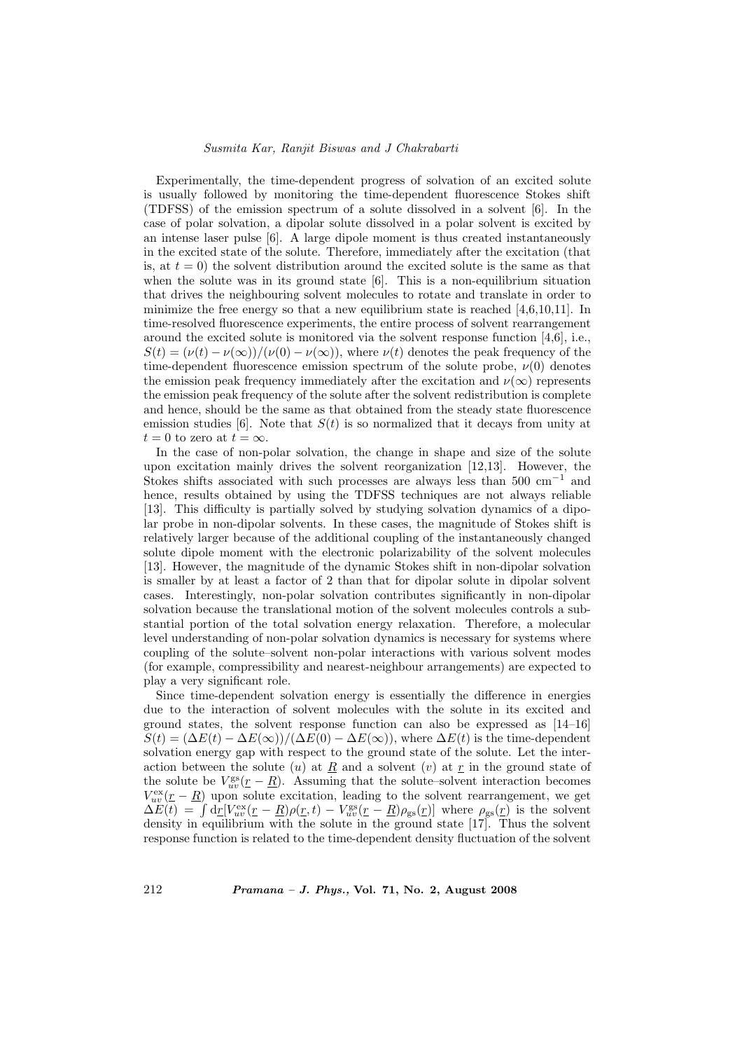Experimentally, the time-dependent progress of solvation of an excited solute is usually followed by monitoring the time-dependent fluorescence Stokes shift (TDFSS) of the emission spectrum of a solute dissolved in a solvent [6]. In the case of polar solvation, a dipolar solute dissolved in a polar solvent is excited by an intense laser pulse [6]. A large dipole moment is thus created instantaneously in the excited state of the solute. Therefore, immediately after the excitation (that is, at  $t = 0$ ) the solvent distribution around the excited solute is the same as that when the solute was in its ground state [6]. This is a non-equilibrium situation that drives the neighbouring solvent molecules to rotate and translate in order to minimize the free energy so that a new equilibrium state is reached [4,6,10,11]. In time-resolved fluorescence experiments, the entire process of solvent rearrangement around the excited solute is monitored via the solvent response function [4,6], i.e.,  $S(t) = (\nu(t) - \nu(\infty))/(\nu(0) - \nu(\infty))$ , where  $\nu(t)$  denotes the peak frequency of the time-dependent fluorescence emission spectrum of the solute probe,  $\nu(0)$  denotes the emission peak frequency immediately after the excitation and  $\nu(\infty)$  represents the emission peak frequency of the solute after the solvent redistribution is complete and hence, should be the same as that obtained from the steady state fluorescence emission studies [6]. Note that  $S(t)$  is so normalized that it decays from unity at  $t = 0$  to zero at  $t = \infty$ .

In the case of non-polar solvation, the change in shape and size of the solute upon excitation mainly drives the solvent reorganization [12,13]. However, the Stokes shifts associated with such processes are always less than 500 cm<sup>−</sup><sup>1</sup> and hence, results obtained by using the TDFSS techniques are not always reliable [13]. This difficulty is partially solved by studying solvation dynamics of a dipolar probe in non-dipolar solvents. In these cases, the magnitude of Stokes shift is relatively larger because of the additional coupling of the instantaneously changed solute dipole moment with the electronic polarizability of the solvent molecules [13]. However, the magnitude of the dynamic Stokes shift in non-dipolar solvation is smaller by at least a factor of 2 than that for dipolar solute in dipolar solvent cases. Interestingly, non-polar solvation contributes significantly in non-dipolar solvation because the translational motion of the solvent molecules controls a substantial portion of the total solvation energy relaxation. Therefore, a molecular level understanding of non-polar solvation dynamics is necessary for systems where coupling of the solute–solvent non-polar interactions with various solvent modes (for example, compressibility and nearest-neighbour arrangements) are expected to play a very significant role.

Since time-dependent solvation energy is essentially the difference in energies due to the interaction of solvent molecules with the solute in its excited and ground states, the solvent response function can also be expressed as [14–16]  $S(t) = (\Delta E(t) - \Delta E(\infty))/(\Delta E(0) - \Delta E(\infty))$ , where  $\Delta E(t)$  is the time-dependent solvation energy gap with respect to the ground state of the solute. Let the interaction between the solute (u) at R and a solvent (v) at  $r$  in the ground state of the solute be  $V_{uv}^{\text{gs}}(r - \underline{R})$ . Assuming that the solute–solvent interaction becomes  $V_{uv}^{\text{ex}}(\underline{r}-\underline{R})$  upon solute excitation, leading to the solvent rearrangement, we get  $V_{uv}^{xx}(r - K)$  upon solute excitation, leading to the solvent rearrangement, we get  $\Delta E(t) = \int d\underline{r} [V_{uv}^{ex}(r - \underline{R})\rho(r, t) - V_{uv}^{gs}(r - \underline{R})\rho_{gs}(r)]$  where  $\rho_{gs}(r)$  is the solvent density in equilibrium with the solute in the ground state [17]. Thus the solvent response function is related to the time-dependent density fluctuation of the solvent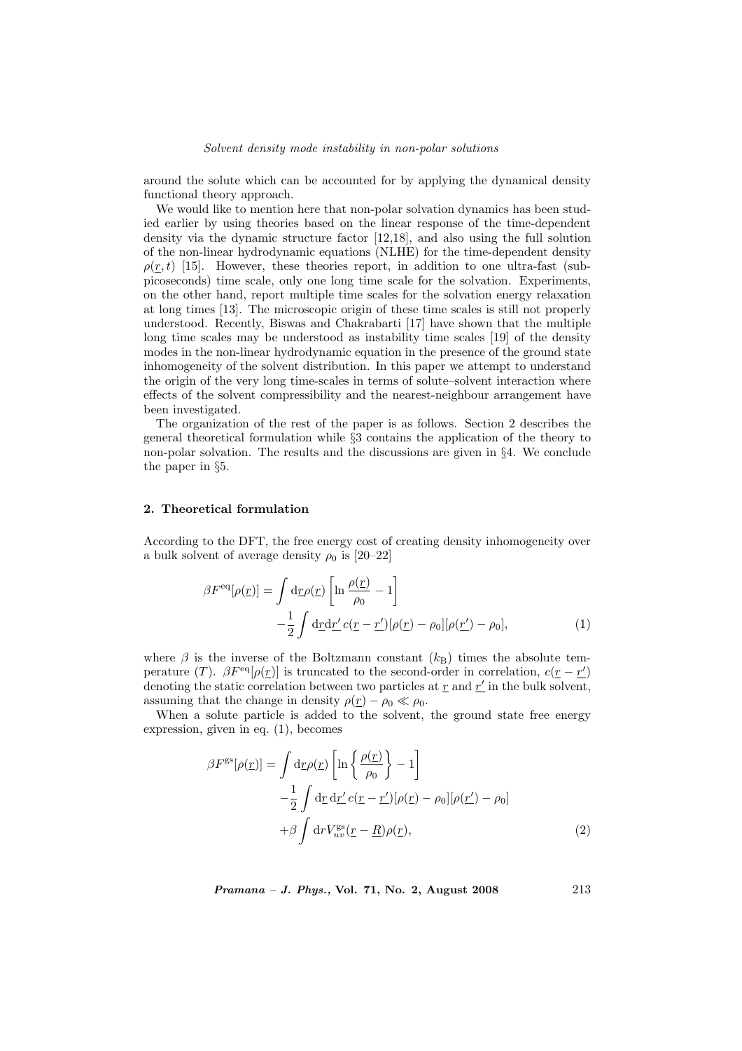around the solute which can be accounted for by applying the dynamical density functional theory approach.

We would like to mention here that non-polar solvation dynamics has been studied earlier by using theories based on the linear response of the time-dependent density via the dynamic structure factor [12,18], and also using the full solution of the non-linear hydrodynamic equations (NLHE) for the time-dependent density  $\rho(r, t)$  [15]. However, these theories report, in addition to one ultra-fast (subpicoseconds) time scale, only one long time scale for the solvation. Experiments, on the other hand, report multiple time scales for the solvation energy relaxation at long times [13]. The microscopic origin of these time scales is still not properly understood. Recently, Biswas and Chakrabarti [17] have shown that the multiple long time scales may be understood as instability time scales [19] of the density modes in the non-linear hydrodynamic equation in the presence of the ground state inhomogeneity of the solvent distribution. In this paper we attempt to understand the origin of the very long time-scales in terms of solute–solvent interaction where effects of the solvent compressibility and the nearest-neighbour arrangement have been investigated.

The organization of the rest of the paper is as follows. Section 2 describes the general theoretical formulation while §3 contains the application of the theory to non-polar solvation. The results and the discussions are given in §4. We conclude the paper in §5.

## 2. Theoretical formulation

According to the DFT, the free energy cost of creating density inhomogeneity over a bulk solvent of average density  $\rho_0$  is [20–22]

$$
\beta F^{\text{eq}}[\rho(\underline{r})] = \int d\underline{r}\rho(\underline{r}) \left[ \ln \frac{\rho(\underline{r})}{\rho_0} - 1 \right]
$$

$$
- \frac{1}{2} \int d\underline{r} d\underline{r}' c(\underline{r} - \underline{r}')[\rho(\underline{r}) - \rho_0][\rho(\underline{r}') - \rho_0], \tag{1}
$$

where  $\beta$  is the inverse of the Boltzmann constant  $(k_B)$  times the absolute temperature (T).  $\beta F^{\text{eq}}[\rho(\underline{r})]$  is truncated to the second-order in correlation,  $c(\underline{r}-\underline{r}')$ denoting the static correlation between two particles at  $\underline{r}$  and  $\underline{r}'$  in the bulk solvent, assuming that the change in density  $\rho(r) - \rho_0 \ll \rho_0$ .

When a solute particle is added to the solvent, the ground state free energy expression, given in eq. (1), becomes

$$
\beta F^{\rm gs}[\rho(\underline{r})] = \int d\underline{r}\rho(\underline{r}) \left[ \ln \left\{ \frac{\rho(\underline{r})}{\rho_0} \right\} - 1 \right]
$$

$$
- \frac{1}{2} \int d\underline{r} \, d\underline{r}' c(\underline{r} - \underline{r}')[\rho(\underline{r}) - \rho_0][\rho(\underline{r}') - \rho_0]
$$

$$
+ \beta \int d\underline{r} V^{\rm gs}_{uv}(\underline{r} - \underline{R})\rho(\underline{r}), \tag{2}
$$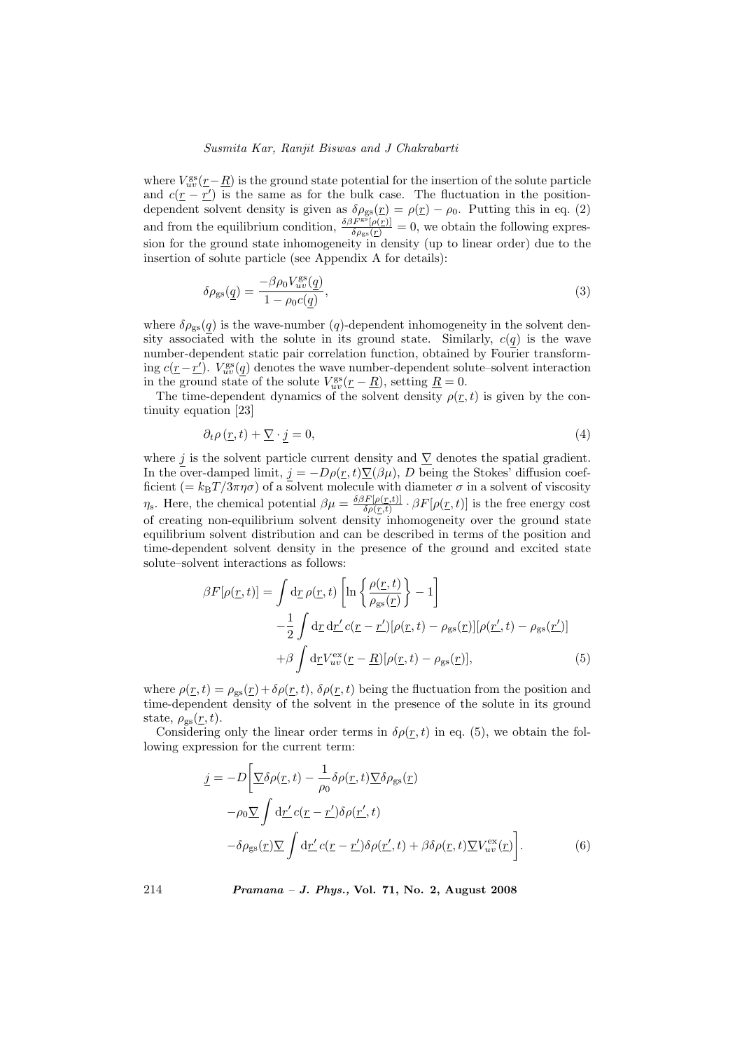where  $V_{uv}^{\rm gs}(\underline{r}-\underline{R})$  is the ground state potential for the insertion of the solute particle and  $c(\underline{r} - \underline{r}')$  is the same as for the bulk case. The fluctuation in the positiondependent solvent density is given as  $\delta \rho_{gs}(r) = \rho(r) - \rho_0$ . Putting this in eq. (2) and from the equilibrium condition,  $\frac{\delta \beta F^{\rm gg}[\rho(\underline{r})]}{\delta \rho_{\rm gs}(\underline{r})} = 0$ , we obtain the following expression for the ground state inhomogeneity in density (up to linear order) due to the insertion of solute particle (see Appendix A for details):

$$
\delta \rho_{\rm gs}(\underline{q}) = \frac{-\beta \rho_0 V_{uv}^{\rm ss}(\underline{q})}{1 - \rho_0 c(\underline{q})},\tag{3}
$$

where  $\delta \rho_{gs}(q)$  is the wave-number  $(q)$ -dependent inhomogeneity in the solvent density associated with the solute in its ground state. Similarly,  $c(q)$  is the wave number-dependent static pair correlation function, obtained by Fourier transforming  $c(\underline{r} - \underline{r'})$ .  $V_{uv}^{\text{gs}}(\underline{q})$  denotes the wave number-dependent solute–solvent interaction in the ground state of the solute  $V_{uv}^{\text{gs}}(\underline{r} - \underline{R})$ , setting  $\underline{R} = 0$ .

The time-dependent dynamics of the solvent density  $\rho(\underline{r},t)$  is given by the continuity equation [23]

$$
\partial_t \rho \left( \underline{r}, t \right) + \underline{\nabla} \cdot j = 0,\tag{4}
$$

where j is the solvent particle current density and  $\nabla$  denotes the spatial gradient. In the over-damped limit,  $j = -D\rho(\underline{r}, t)\underline{\nabla}(\beta\mu)$ , D being the Stokes' diffusion coefficient (=  $k_{\text{B}}T/3\pi\eta\sigma$ ) of a solvent molecule with diameter  $\sigma$  in a solvent of viscosity  $\eta_s$ . Here, the chemical potential  $\beta \mu = \frac{\delta \beta F[\rho(r,t)]}{\delta \rho(r,t)}$  $\frac{\partial F[\rho(\underline{r},t)]}{\partial \rho(r,t)} \cdot \beta F[\rho(\underline{r},t)]$  is the free energy cost of creating non-equilibrium solvent density inhomogeneity over the ground state equilibrium solvent distribution and can be described in terms of the position and time-dependent solvent density in the presence of the ground and excited state solute–solvent interactions as follows:

$$
\beta F[\rho(\underline{r},t)] = \int d\underline{r} \rho(\underline{r},t) \left[ \ln \left\{ \frac{\rho(\underline{r},t)}{\rho_{\rm gs}(\underline{r})} \right\} - 1 \right]
$$

$$
- \frac{1}{2} \int d\underline{r} \, d\underline{r}' c(\underline{r} - \underline{r}')[\rho(\underline{r},t) - \rho_{\rm gs}(\underline{r})][\rho(\underline{r}',t) - \rho_{\rm gs}(\underline{r}')] + \beta \int d\underline{r} V_{uv}^{\rm ex}(\underline{r} - \underline{R})[\rho(\underline{r},t) - \rho_{\rm gs}(\underline{r})], \tag{5}
$$

where  $\rho(r, t) = \rho_{gs}(r) + \delta \rho(r, t)$ ,  $\delta \rho(r, t)$  being the fluctuation from the position and time-dependent density of the solvent in the presence of the solute in its ground state,  $\rho_{gs}(\underline{r},t)$ .

Considering only the linear order terms in  $\delta \rho(r, t)$  in eq. (5), we obtain the following expression for the current term:

$$
\underline{j} = -D \left[ \nabla \delta \rho(\underline{r}, t) - \frac{1}{\rho_0} \delta \rho(\underline{r}, t) \nabla \delta \rho_{\rm gs}(\underline{r}) \right]
$$
  
\n
$$
-\rho_0 \nabla \int d\underline{r}' c(\underline{r} - \underline{r}') \delta \rho(\underline{r}', t)
$$
  
\n
$$
-\delta \rho_{\rm gs}(\underline{r}) \nabla \int d\underline{r}' c(\underline{r} - \underline{r}') \delta \rho(\underline{r}', t) + \beta \delta \rho(\underline{r}, t) \nabla V_{uv}^{\rm ex}(\underline{r}) \right].
$$
 (6)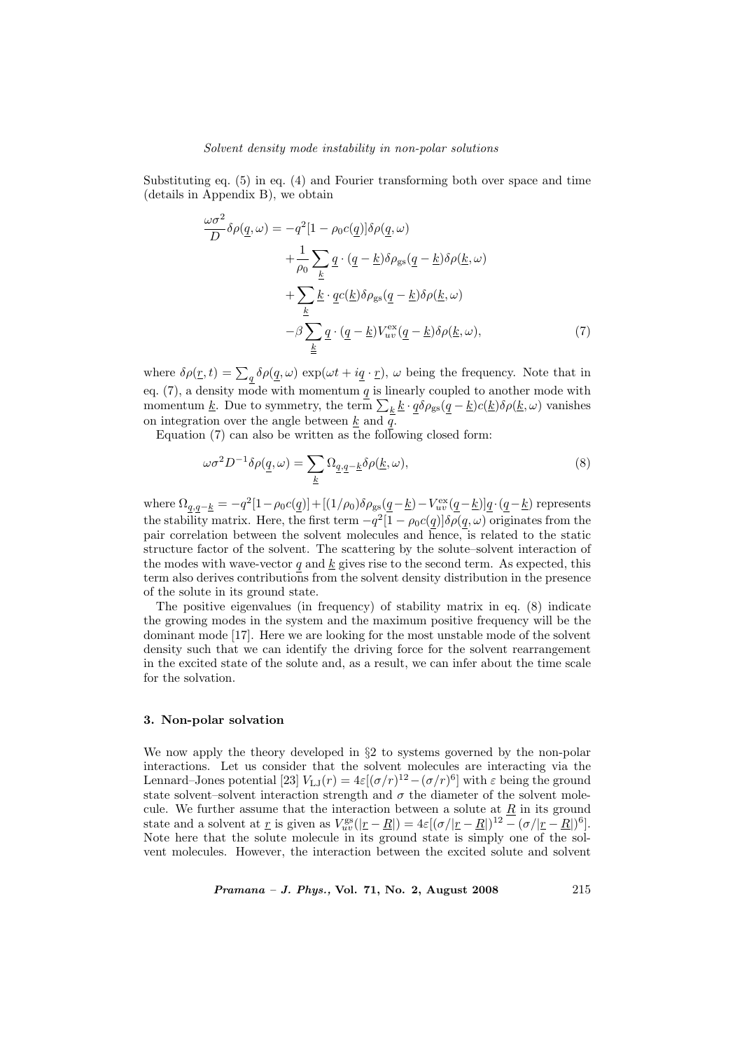Substituting eq. (5) in eq. (4) and Fourier transforming both over space and time (details in Appendix B), we obtain

$$
\frac{\omega \sigma^2}{D} \delta \rho(\underline{q}, \omega) = -q^2 [1 - \rho_0 c(\underline{q})] \delta \rho(\underline{q}, \omega)
$$

$$
+ \frac{1}{\rho_0} \sum_{\underline{k}} \underline{q} \cdot (\underline{q} - \underline{k}) \delta \rho_{\rm gs} (\underline{q} - \underline{k}) \delta \rho(\underline{k}, \omega)
$$

$$
+ \sum_{\underline{k}} \underline{k} \cdot \underline{q} c(\underline{k}) \delta \rho_{\rm gs} (\underline{q} - \underline{k}) \delta \rho(\underline{k}, \omega)
$$

$$
- \beta \sum_{\underline{k}} \underline{q} \cdot (\underline{q} - \underline{k}) V_{uv}^{\rm ex} (\underline{q} - \underline{k}) \delta \rho(\underline{k}, \omega), \tag{7}
$$

where  $\delta \rho(\underline{r}, t) = \sum_q \delta \rho(\underline{q}, \omega) \exp(\omega t + i \underline{q} \cdot \underline{r}), \omega$  being the frequency. Note that in eq. (7), a density mode with momentum  $q$  is linearly coupled to another mode with eq. (*i*), a density mode with momentum  $\frac{q}{l}$  is infearly coupled to another mode with momentum <u>k</u>. Due to symmetry, the term  $\sum_k \underline{k} \cdot \underline{q} \delta \rho_{gs} (\underline{q} - \underline{k}) c(\underline{k}) \delta \rho(\underline{k}, \omega)$  vanishes on integration over the angle between  $\underline{k}$  and  $\overline{q}$ .

Equation  $(7)$  can also be written as the following closed form:

$$
\omega \sigma^2 D^{-1} \delta \rho(\underline{q}, \omega) = \sum_{\underline{k}} \Omega_{\underline{q}, \underline{q} - \underline{k}} \delta \rho(\underline{k}, \omega), \tag{8}
$$

where  $\Omega_{q,q-\underline{k}} = -q^2[1-\rho_0 c(\underline{q})] + [(1/\rho_0)\delta\rho_{\rm gs}(\underline{q}-\underline{k}) - V_{uv}^{\rm ex}(\underline{q}-\underline{k})]\underline{q} \cdot (\underline{q}-\underline{k})$  represents the stability matrix. Here, the first term  $-q^2[1-\rho_0 c(q)]\delta\rho(q,\omega)$  originates from the pair correlation between the solvent molecules and hence, is related to the static structure factor of the solvent. The scattering by the solute–solvent interaction of the modes with wave-vector  $q$  and  $k$  gives rise to the second term. As expected, this term also derives contributions from the solvent density distribution in the presence of the solute in its ground state.

The positive eigenvalues (in frequency) of stability matrix in eq. (8) indicate the growing modes in the system and the maximum positive frequency will be the dominant mode [17]. Here we are looking for the most unstable mode of the solvent density such that we can identify the driving force for the solvent rearrangement in the excited state of the solute and, as a result, we can infer about the time scale for the solvation.

#### 3. Non-polar solvation

We now apply the theory developed in  $\S2$  to systems governed by the non-polar interactions. Let us consider that the solvent molecules are interacting via the Lennard–Jones potential [23]  $V_{\text{LJ}}(r) = 4\varepsilon[(\sigma/r)^{12} - (\sigma/r)^6]$  with  $\varepsilon$  being the ground state solvent–solvent interaction strength and  $\sigma$  the diameter of the solvent molecule. We further assume that the interaction between a solute at  $\underline{R}$  in its ground state and a solvent at <u>r</u> is given as  $V_{uv}^{\text{gs}}(|\underline{r} - \underline{R}|) = 4\varepsilon[(\sigma/|\underline{r} - \underline{R}|)^{12} - (\sigma/|\underline{r} - \underline{R}|)^6].$ Note here that the solute molecule in its ground state is simply one of the solvent molecules. However, the interaction between the excited solute and solvent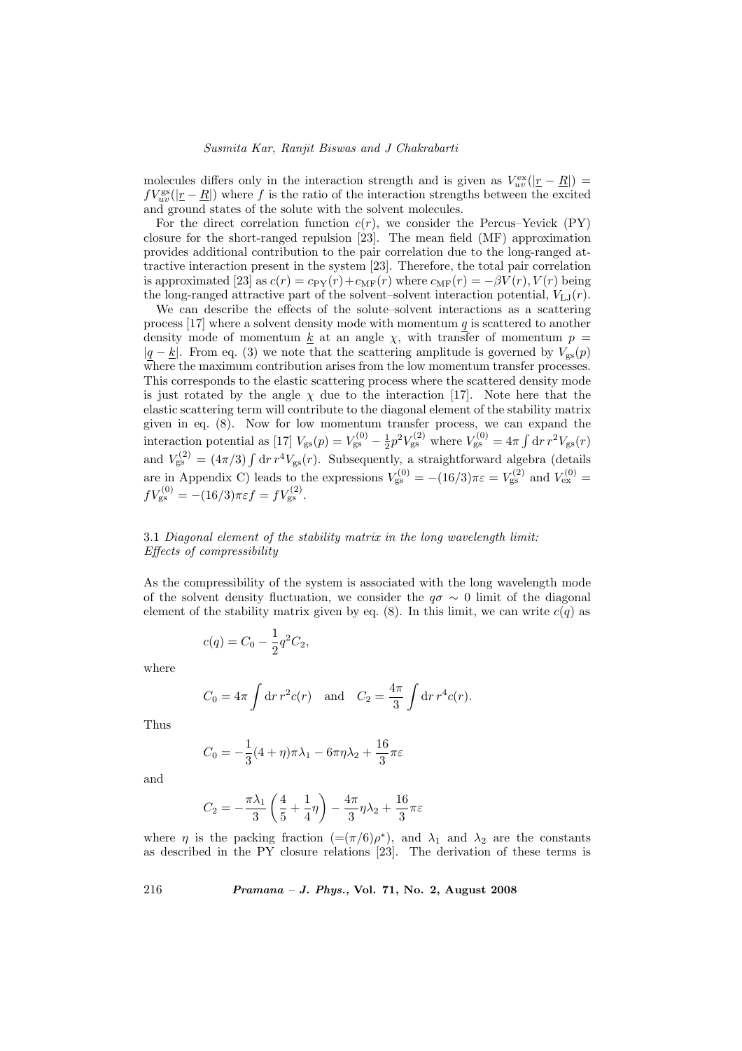molecules differs only in the interaction strength and is given as  $V_{uv}^{\text{ex}}(|\underline{r} - \underline{R}|)$  $fV_{uv}^{\rm gs}(|\underline{r}-\underline{R}|)$  where f is the ratio of the interaction strengths between the excited and ground states of the solute with the solvent molecules.

For the direct correlation function  $c(r)$ , we consider the Percus–Yevick (PY) closure for the short-ranged repulsion [23]. The mean field (MF) approximation provides additional contribution to the pair correlation due to the long-ranged attractive interaction present in the system [23]. Therefore, the total pair correlation is approximated [23] as  $c(r) = c_{\text{PY}}(r) + c_{\text{MF}}(r)$  where  $c_{\text{MF}}(r) = -\beta V(r)$ ,  $V(r)$  being the long-ranged attractive part of the solvent–solvent interaction potential,  $V_{LJ}(r)$ .

We can describe the effects of the solute–solvent interactions as a scattering process  $[17]$  where a solvent density mode with momentum q is scattered to another density mode of momentum  $\underline{k}$  at an angle  $\chi$ , with transfer of momentum  $p =$  $|q - k|$ . From eq. (3) we note that the scattering amplitude is governed by  $V_{gs}(p)$ where the maximum contribution arises from the low momentum transfer processes. This corresponds to the elastic scattering process where the scattered density mode is just rotated by the angle  $\chi$  due to the interaction [17]. Note here that the elastic scattering term will contribute to the diagonal element of the stability matrix given in eq. (8). Now for low momentum transfer process, we can expand the interaction potential as [17]  $V_{gs}(p) = V_{gs}^{(0)} - \frac{1}{2}p^2V_{gs}^{(2)}$  where  $V_{gs}^{(0)} = 4\pi$  $\int dr r^2 V_{\rm gs}(r)$ and  $V_{\rm gs}^{(2)} = (4\pi/3) \int dr r^4 V_{\rm gs}(r)$ . Subsequently, a straightforward algebra (details are in Appendix C) leads to the expressions  $V_{\rm gs}^{(0)} = -(16/3)\pi\varepsilon = V_{\rm gs}^{(2)}$  and  $V_{\rm ex}^{(0)} =$  $fV_{\rm gs}^{(0)} = -(16/3)\pi\varepsilon f = fV_{\rm gs}^{(2)}.$ 

# 3.1 Diagonal element of the stability matrix in the long wavelength limit: Effects of compressibility

As the compressibility of the system is associated with the long wavelength mode of the solvent density fluctuation, we consider the  $q\sigma \sim 0$  limit of the diagonal element of the stability matrix given by eq. (8). In this limit, we can write  $c(q)$  as

$$
c(q) = C_0 - \frac{1}{2}q^2C_2,
$$

where

$$
C_0 = 4\pi \int dr r^2 c(r)
$$
 and  $C_2 = \frac{4\pi}{3} \int dr r^4 c(r)$ .

Thus

$$
C_0 = -\frac{1}{3}(4+\eta)\pi\lambda_1 - 6\pi\eta\lambda_2 + \frac{16}{3}\pi\varepsilon
$$

and

$$
C_2 = -\frac{\pi \lambda_1}{3} \left( \frac{4}{5} + \frac{1}{4} \eta \right) - \frac{4\pi}{3} \eta \lambda_2 + \frac{16}{3} \pi \varepsilon
$$

where  $\eta$  is the packing fraction  $(=(\pi/6)\rho^*)$ , and  $\lambda_1$  and  $\lambda_2$  are the constants as described in the PY closure relations [23]. The derivation of these terms is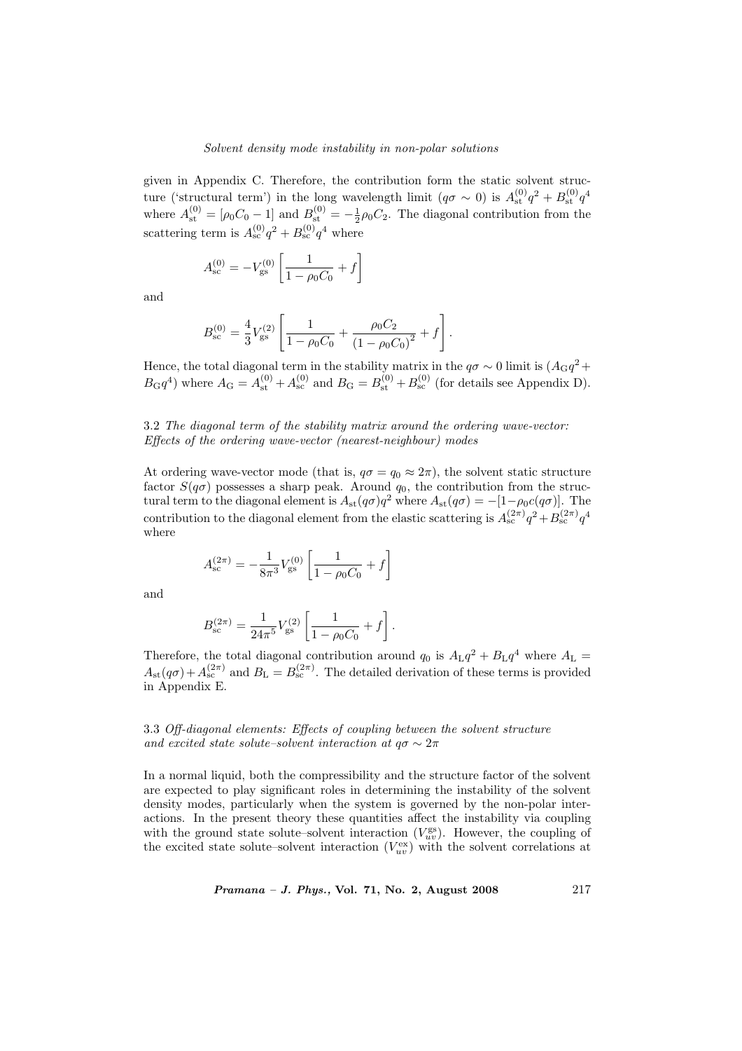given in Appendix C. Therefore, the contribution form the static solvent structure ('structural term') in the long wavelength limit  $(q\sigma \sim 0)$  is  $A_{\rm st}^{(0)}q^2 + B_{\rm st}^{(0)}q^4$ where  $A_{\rm st}^{(0)} = [\rho_0 C_0 - 1]$  and  $B_{\rm st}^{(0)} = -\frac{1}{2}\rho_0 C_2$ . The diagonal contribution from the scattering term is  $A_{\rm sc}^{(0)}q^2 + B_{\rm sc}^{(0)}q^4$  where

$$
A_{\rm sc}^{(0)} = -V_{\rm gs}^{(0)} \left[ \frac{1}{1 - \rho_0 C_0} + f \right]
$$

and

$$
B_{\rm sc}^{(0)} = \frac{4}{3} V_{\rm gs}^{(2)} \left[ \frac{1}{1 - \rho_0 C_0} + \frac{\rho_0 C_2}{\left(1 - \rho_0 C_0\right)^2} + f \right].
$$

Hence, the total diagonal term in the stability matrix in the  $q\sigma \sim 0$  limit is  $(A_{\text{G}}q^2 +$  $B_{\rm G}q^4$ ) where  $A_{\rm G} = A_{\rm st}^{(0)} + A_{\rm sc}^{(0)}$  and  $B_{\rm G} = B_{\rm st}^{(0)} + B_{\rm sc}^{(0)}$  (for details see Appendix D).

# 3.2 The diagonal term of the stability matrix around the ordering wave-vector: Effects of the ordering wave-vector (nearest-neighbour) modes

At ordering wave-vector mode (that is,  $q\sigma = q_0 \approx 2\pi$ ), the solvent static structure factor  $S(q\sigma)$  possesses a sharp peak. Around  $q_0$ , the contribution from the structural term to the diagonal element is  $A_{st}(q\sigma)q^2$  where  $A_{st}(q\sigma) = -[1-\rho_0c(q\sigma)]$ . The contribution to the diagonal element from the elastic scattering is  $A_{\rm sc}^{(2\pi)}q^2 + B_{\rm sc}^{(2\pi)}q^4$ where

$$
A_{\rm sc}^{(2\pi)} = -\frac{1}{8\pi^3} V_{\rm gs}^{(0)} \left[ \frac{1}{1 - \rho_0 C_0} + f \right]
$$

and

$$
B_{\rm sc}^{(2\pi)} = \frac{1}{24\pi^5} V_{\rm gs}^{(2)} \left[ \frac{1}{1 - \rho_0 C_0} + f \right].
$$

Therefore, the total diagonal contribution around  $q_0$  is  $A_{\text{L}}q^2 + B_{\text{L}}q^4$  where  $A_{\text{L}} =$  $A_{\rm st}(q\sigma) + A_{\rm sc}^{(2\pi)}$  and  $B_{\rm L} = B_{\rm sc}^{(2\pi)}$ . The detailed derivation of these terms is provided in Appendix E.

# 3.3 Off-diagonal elements: Effects of coupling between the solvent structure and excited state solute–solvent interaction at  $q\sigma \sim 2\pi$

In a normal liquid, both the compressibility and the structure factor of the solvent are expected to play significant roles in determining the instability of the solvent density modes, particularly when the system is governed by the non-polar interactions. In the present theory these quantities affect the instability via coupling with the ground state solute–solvent interaction  $(V_{uv}^{\text{gs}})$ . However, the coupling of the excited state solute–solvent interaction  $(V_{uv}^{\text{ex}})$  with the solvent correlations at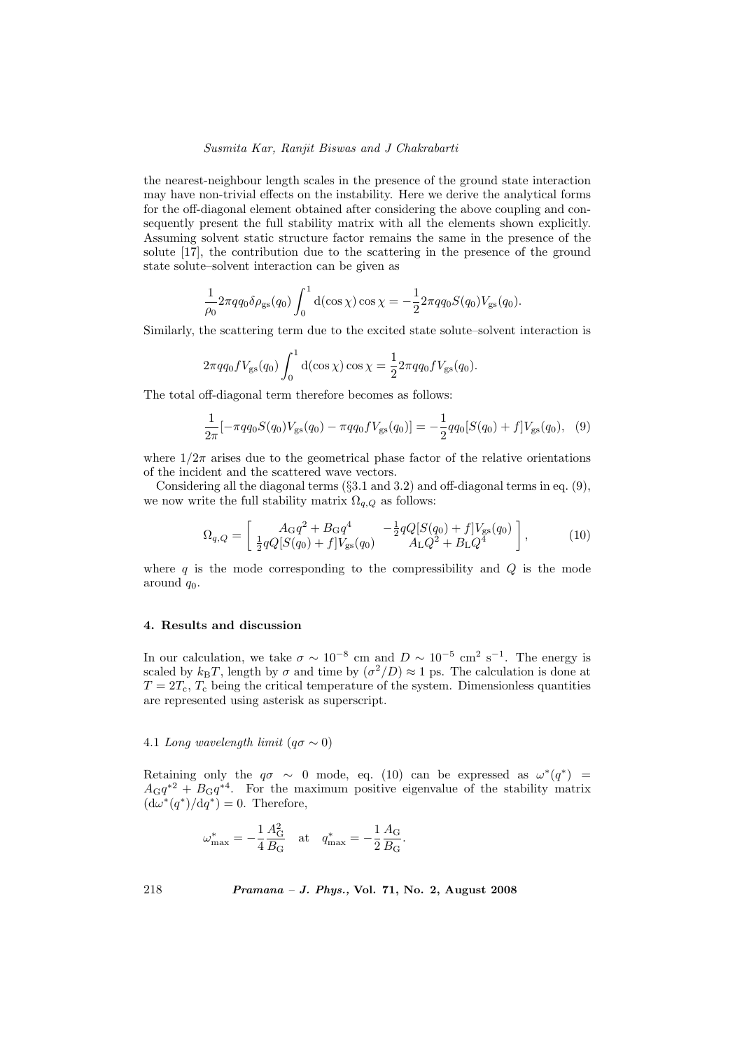the nearest-neighbour length scales in the presence of the ground state interaction may have non-trivial effects on the instability. Here we derive the analytical forms for the off-diagonal element obtained after considering the above coupling and consequently present the full stability matrix with all the elements shown explicitly. Assuming solvent static structure factor remains the same in the presence of the solute [17], the contribution due to the scattering in the presence of the ground state solute–solvent interaction can be given as

$$
\frac{1}{\rho_0} 2\pi q q_0 \delta \rho_{\rm gs}(q_0) \int_0^1 d(\cos \chi) \cos \chi = -\frac{1}{2} 2\pi q q_0 S(q_0) V_{\rm gs}(q_0).
$$

Similarly, the scattering term due to the excited state solute–solvent interaction is

$$
2\pi qq_0 fV_{\rm gs}(q_0) \int_0^1 d(\cos\chi) \cos\chi = \frac{1}{2} 2\pi qq_0 fV_{\rm gs}(q_0).
$$

The total off-diagonal term therefore becomes as follows:

$$
\frac{1}{2\pi}[-\pi qq_0S(q_0)V_{\rm gs}(q_0) - \pi qq_0fV_{\rm gs}(q_0)] = -\frac{1}{2}qq_0[S(q_0) + f]V_{\rm gs}(q_0), \quad (9)
$$

where  $1/2\pi$  arises due to the geometrical phase factor of the relative orientations of the incident and the scattered wave vectors.

Considering all the diagonal terms  $(\S3.1 \text{ and } 3.2)$  and off-diagonal terms in eq. (9), we now write the full stability matrix  $\Omega_{q,Q}$  as follows:

$$
\Omega_{q,Q} = \left[ \begin{array}{cc} A_{\rm G}q^2 + B_{\rm G}q^4 & -\frac{1}{2}qQ[S(q_0) + f]V_{\rm gs}(q_0) \\ \frac{1}{2}qQ[S(q_0) + f]V_{\rm gs}(q_0) & A_{\rm L}Q^2 + B_{\rm L}Q^4 \end{array} \right],
$$
\n(10)

where  $q$  is the mode corresponding to the compressibility and  $Q$  is the mode around  $q_0$ .

#### 4. Results and discussion

In our calculation, we take  $\sigma \sim 10^{-8}$  cm and  $D \sim 10^{-5}$  cm<sup>2</sup> s<sup>-1</sup>. The energy is scaled by  $k_BT$ , length by  $\sigma$  and time by  $(\sigma^2/D) \approx 1$  ps. The calculation is done at  $T = 2T_c$ ,  $T_c$  being the critical temperature of the system. Dimensionless quantities are represented using asterisk as superscript.

# 4.1 Long wavelength limit  $(q\sigma \sim 0)$

Retaining only the  $q\sigma \sim 0$  mode, eq. (10) can be expressed as  $\omega^*(q^*)$  =  $A_{\text{G}}q^{*2} + B_{\text{G}}q^{*4}$ . For the maximum positive eigenvalue of the stability matrix  $(d\omega^*(q^*)/dq^*)=0$ . Therefore,

$$
\omega^*_{\rm max} = -\frac{1}{4}\frac{A_{\rm G}^2}{B_{\rm G}} \quad {\rm at} \quad q^*_{\rm max} = -\frac{1}{2}\frac{A_{\rm G}}{B_{\rm G}}.
$$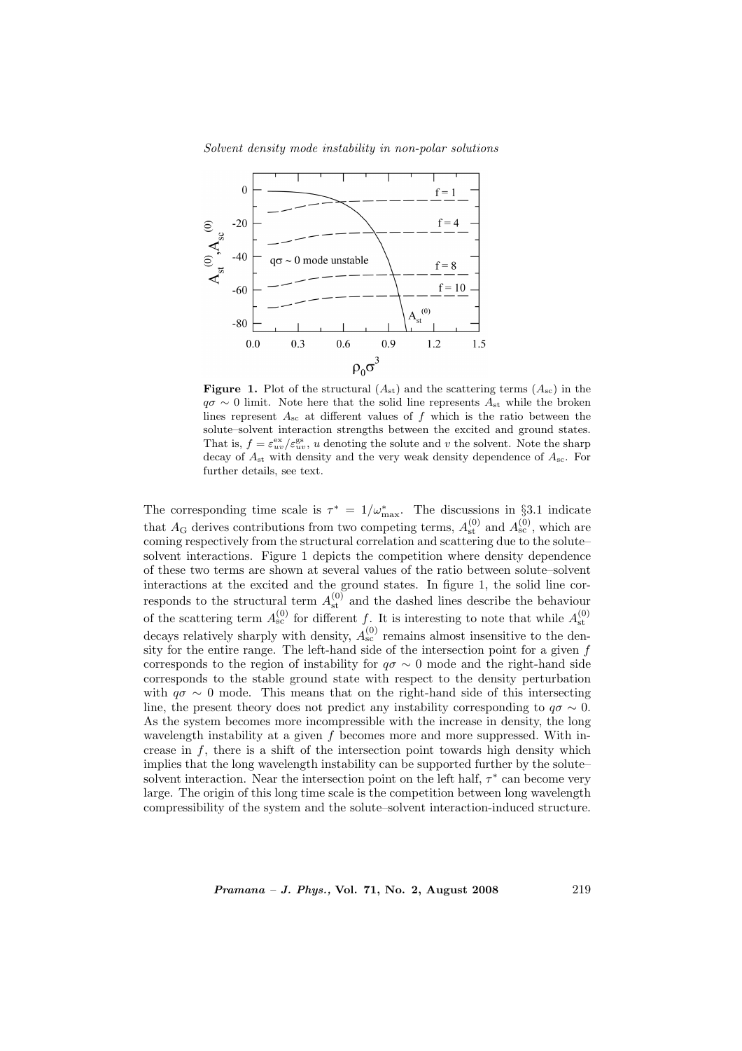

**Figure 1.** Plot of the structural  $(A_{st})$  and the scattering terms  $(A_{sc})$  in the  $q\sigma \sim 0$  limit. Note here that the solid line represents  $A_{st}$  while the broken lines represent  $A_{\rm sc}$  at different values of f which is the ratio between the solute–solvent interaction strengths between the excited and ground states. That is,  $f = \varepsilon_{uv}^{\text{ex}}/\varepsilon_{uv}^{\text{gs}}$ , u denoting the solute and v the solvent. Note the sharp decay of  $A_{st}$  with density and the very weak density dependence of  $A_{sc}$ . For further details, see text.

The corresponding time scale is  $\tau^* = 1/\omega_{\text{max}}^*$ . The discussions in §3.1 indicate that  $A_G$  derives contributions from two competing terms,  $A_{st}^{(0)}$  and  $A_{sc}^{(0)}$ , which are coming respectively from the structural correlation and scattering due to the solute– solvent interactions. Figure 1 depicts the competition where density dependence of these two terms are shown at several values of the ratio between solute–solvent interactions at the excited and the ground states. In figure 1, the solid line corresponds to the structural term  $A_{\text{st}}^{(0)}$  and the dashed lines describe the behaviour of the scattering term  $A_{\rm sc}^{(0)}$  for different f. It is interesting to note that while  $A_{\rm st}^{(0)}$ decays relatively sharply with density,  $A_{\rm sc}^{(0)}$  remains almost insensitive to the density for the entire range. The left-hand side of the intersection point for a given f corresponds to the region of instability for  $q\sigma \sim 0$  mode and the right-hand side corresponds to the stable ground state with respect to the density perturbation with  $q\sigma \sim 0$  mode. This means that on the right-hand side of this intersecting line, the present theory does not predict any instability corresponding to  $q\sigma \sim 0$ . As the system becomes more incompressible with the increase in density, the long wavelength instability at a given f becomes more and more suppressed. With increase in  $f$ , there is a shift of the intersection point towards high density which implies that the long wavelength instability can be supported further by the solute– solvent interaction. Near the intersection point on the left half,  $\tau^*$  can become very large. The origin of this long time scale is the competition between long wavelength compressibility of the system and the solute–solvent interaction-induced structure.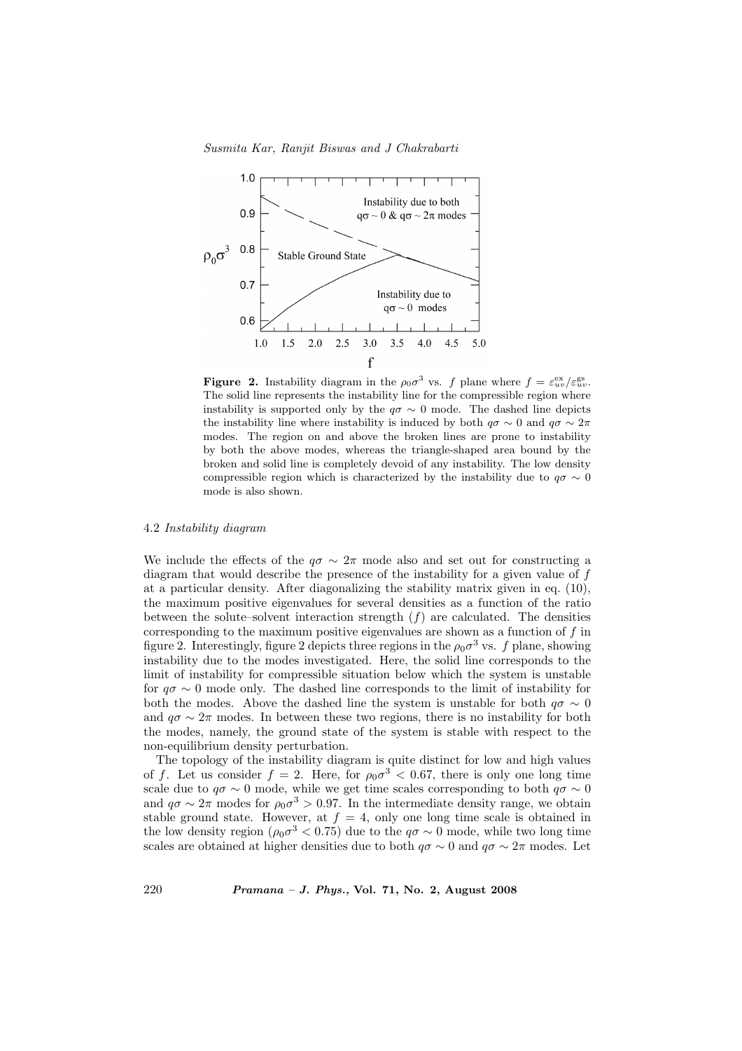

**Figure 2.** Instability diagram in the  $\rho_0 \sigma^3$  vs. f plane where  $f = \varepsilon_{uv}^{\text{ex}}/\varepsilon_{uv}^{\text{gs}}$ . The solid line represents the instability line for the compressible region where instability is supported only by the  $q\sigma \sim 0$  mode. The dashed line depicts the instability line where instability is induced by both  $q\sigma \sim 0$  and  $q\sigma \sim 2\pi$ modes. The region on and above the broken lines are prone to instability by both the above modes, whereas the triangle-shaped area bound by the broken and solid line is completely devoid of any instability. The low density compressible region which is characterized by the instability due to  $q\sigma \sim 0$ mode is also shown.

#### 4.2 Instability diagram

We include the effects of the  $q\sigma \sim 2\pi$  mode also and set out for constructing a diagram that would describe the presence of the instability for a given value of f at a particular density. After diagonalizing the stability matrix given in eq. (10), the maximum positive eigenvalues for several densities as a function of the ratio between the solute–solvent interaction strength  $(f)$  are calculated. The densities corresponding to the maximum positive eigenvalues are shown as a function of  $f$  in figure 2. Interestingly, figure 2 depicts three regions in the  $\rho_0 \sigma^3$  vs. f plane, showing instability due to the modes investigated. Here, the solid line corresponds to the limit of instability for compressible situation below which the system is unstable for  $q\sigma \sim 0$  mode only. The dashed line corresponds to the limit of instability for both the modes. Above the dashed line the system is unstable for both  $q\sigma \sim 0$ and  $q\sigma \sim 2\pi$  modes. In between these two regions, there is no instability for both the modes, namely, the ground state of the system is stable with respect to the non-equilibrium density perturbation.

The topology of the instability diagram is quite distinct for low and high values of f. Let us consider  $f = 2$ . Here, for  $\rho_0 \sigma^3 < 0.67$ , there is only one long time scale due to  $q\sigma \sim 0$  mode, while we get time scales corresponding to both  $q\sigma \sim 0$ and  $q\sigma \sim 2\pi$  modes for  $\rho_0 \sigma^3 > 0.97$ . In the intermediate density range, we obtain stable ground state. However, at  $f = 4$ , only one long time scale is obtained in the low density region ( $\rho_0 \sigma^3 < 0.75$ ) due to the  $q\sigma \sim 0$  mode, while two long time scales are obtained at higher densities due to both  $q\sigma \sim 0$  and  $q\sigma \sim 2\pi$  modes. Let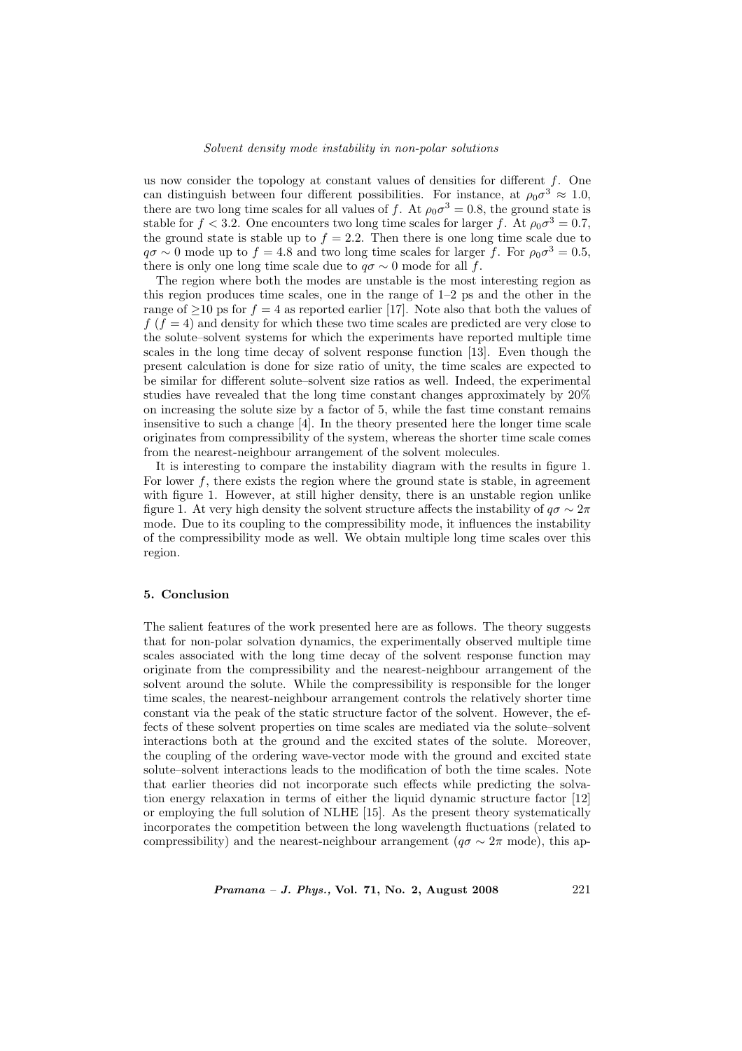us now consider the topology at constant values of densities for different  $f$ . One can distinguish between four different possibilities. For instance, at  $\rho_0 \sigma^3 \approx 1.0$ , there are two long time scales for all values of f. At  $\rho_0 \sigma^3 = 0.8$ , the ground state is stable for  $f < 3.2$ . One encounters two long time scales for larger f. At  $\rho_0 \sigma^3 = 0.7$ , the ground state is stable up to  $f = 2.2$ . Then there is one long time scale due to  $q\sigma \sim 0$  mode up to  $f = 4.8$  and two long time scales for larger f. For  $\rho_0 \sigma^3 = 0.5$ , there is only one long time scale due to  $q\sigma \sim 0$  mode for all f.

The region where both the modes are unstable is the most interesting region as this region produces time scales, one in the range of  $1-2$  ps and the other in the range of  $\geq$ 10 ps for  $f = 4$  as reported earlier [17]. Note also that both the values of  $f(f = 4)$  and density for which these two time scales are predicted are very close to the solute–solvent systems for which the experiments have reported multiple time scales in the long time decay of solvent response function [13]. Even though the present calculation is done for size ratio of unity, the time scales are expected to be similar for different solute–solvent size ratios as well. Indeed, the experimental studies have revealed that the long time constant changes approximately by 20% on increasing the solute size by a factor of 5, while the fast time constant remains insensitive to such a change [4]. In the theory presented here the longer time scale originates from compressibility of the system, whereas the shorter time scale comes from the nearest-neighbour arrangement of the solvent molecules.

It is interesting to compare the instability diagram with the results in figure 1. For lower  $f$ , there exists the region where the ground state is stable, in agreement with figure 1. However, at still higher density, there is an unstable region unlike figure 1. At very high density the solvent structure affects the instability of  $q\sigma \sim 2\pi$ mode. Due to its coupling to the compressibility mode, it influences the instability of the compressibility mode as well. We obtain multiple long time scales over this region.

# 5. Conclusion

The salient features of the work presented here are as follows. The theory suggests that for non-polar solvation dynamics, the experimentally observed multiple time scales associated with the long time decay of the solvent response function may originate from the compressibility and the nearest-neighbour arrangement of the solvent around the solute. While the compressibility is responsible for the longer time scales, the nearest-neighbour arrangement controls the relatively shorter time constant via the peak of the static structure factor of the solvent. However, the effects of these solvent properties on time scales are mediated via the solute–solvent interactions both at the ground and the excited states of the solute. Moreover, the coupling of the ordering wave-vector mode with the ground and excited state solute–solvent interactions leads to the modification of both the time scales. Note that earlier theories did not incorporate such effects while predicting the solvation energy relaxation in terms of either the liquid dynamic structure factor [12] or employing the full solution of NLHE [15]. As the present theory systematically incorporates the competition between the long wavelength fluctuations (related to compressibility) and the nearest-neighbour arrangement ( $q\sigma \sim 2\pi$  mode), this ap-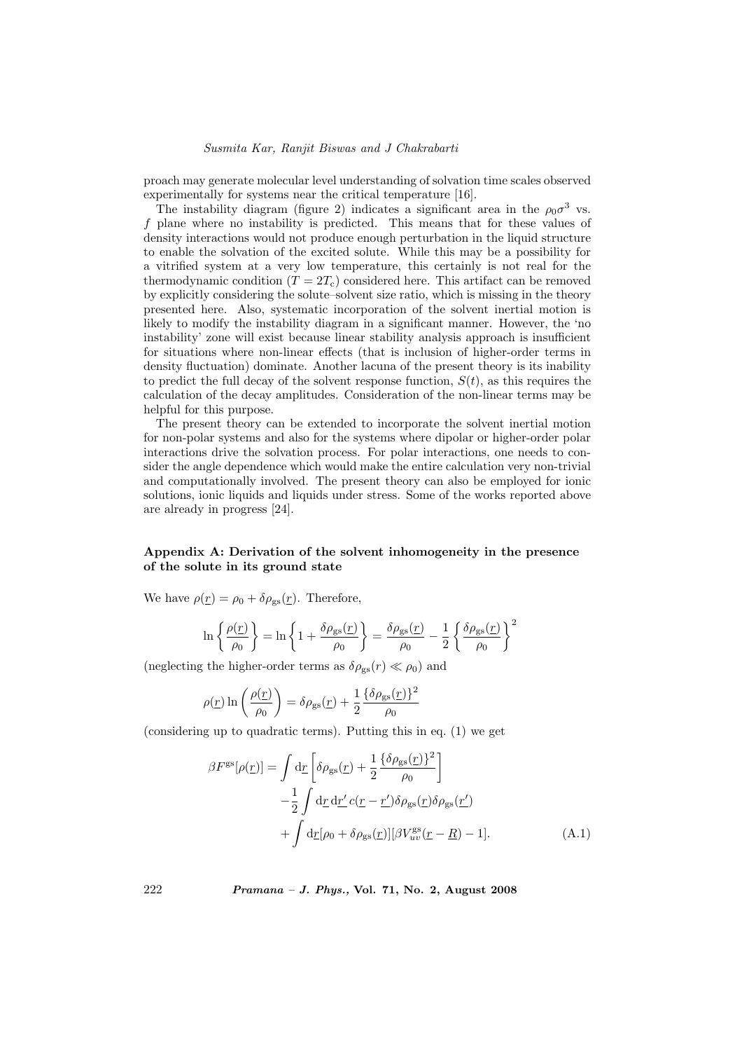proach may generate molecular level understanding of solvation time scales observed experimentally for systems near the critical temperature [16].

The instability diagram (figure 2) indicates a significant area in the  $\rho_0 \sigma^3$  vs. f plane where no instability is predicted. This means that for these values of density interactions would not produce enough perturbation in the liquid structure to enable the solvation of the excited solute. While this may be a possibility for a vitrified system at a very low temperature, this certainly is not real for the thermodynamic condition  $(T = 2T_c)$  considered here. This artifact can be removed by explicitly considering the solute–solvent size ratio, which is missing in the theory presented here. Also, systematic incorporation of the solvent inertial motion is likely to modify the instability diagram in a significant manner. However, the 'no instability' zone will exist because linear stability analysis approach is insufficient for situations where non-linear effects (that is inclusion of higher-order terms in density fluctuation) dominate. Another lacuna of the present theory is its inability to predict the full decay of the solvent response function,  $S(t)$ , as this requires the calculation of the decay amplitudes. Consideration of the non-linear terms may be helpful for this purpose.

The present theory can be extended to incorporate the solvent inertial motion for non-polar systems and also for the systems where dipolar or higher-order polar interactions drive the solvation process. For polar interactions, one needs to consider the angle dependence which would make the entire calculation very non-trivial and computationally involved. The present theory can also be employed for ionic solutions, ionic liquids and liquids under stress. Some of the works reported above are already in progress [24].

# Appendix A: Derivation of the solvent inhomogeneity in the presence of the solute in its ground state

We have  $\rho(r) = \rho_0 + \delta \rho_{gs}(r)$ . Therefore,

$$
\ln\left\{\frac{\rho(\underline{r})}{\rho_0}\right\} = \ln\left\{1 + \frac{\delta\rho_{\rm gs}(\underline{r})}{\rho_0}\right\} = \frac{\delta\rho_{\rm gs}(\underline{r})}{\rho_0} - \frac{1}{2}\left\{\frac{\delta\rho_{\rm gs}(\underline{r})}{\rho_0}\right\}^2
$$

(neglecting the higher-order terms as  $\delta \rho_{gs}(r) \ll \rho_0$ ) and

$$
\rho(\underline{r}) \ln \left( \frac{\rho(\underline{r})}{\rho_0} \right) = \delta \rho_{\rm gs}(\underline{r}) + \frac{1}{2} \frac{\{\delta \rho_{\rm gs}(\underline{r})\}^2}{\rho_0}
$$

(considering up to quadratic terms). Putting this in eq. (1) we get

$$
\beta F^{\rm gs}[\rho(\underline{r})] = \int d\underline{r} \left[ \delta \rho_{\rm gs}(\underline{r}) + \frac{1}{2} \frac{\{\delta \rho_{\rm gs}(\underline{r})\}^2}{\rho_0} \right] \n- \frac{1}{2} \int d\underline{r} d\underline{r}' c(\underline{r} - \underline{r}') \delta \rho_{\rm gs}(\underline{r}) \delta \rho_{\rm gs}(\underline{r}')
$$
\n
$$
+ \int d\underline{r}[\rho_0 + \delta \rho_{\rm gs}(\underline{r})] [\beta V^{\rm gs}_{uv}(\underline{r} - \underline{R}) - 1]. \tag{A.1}
$$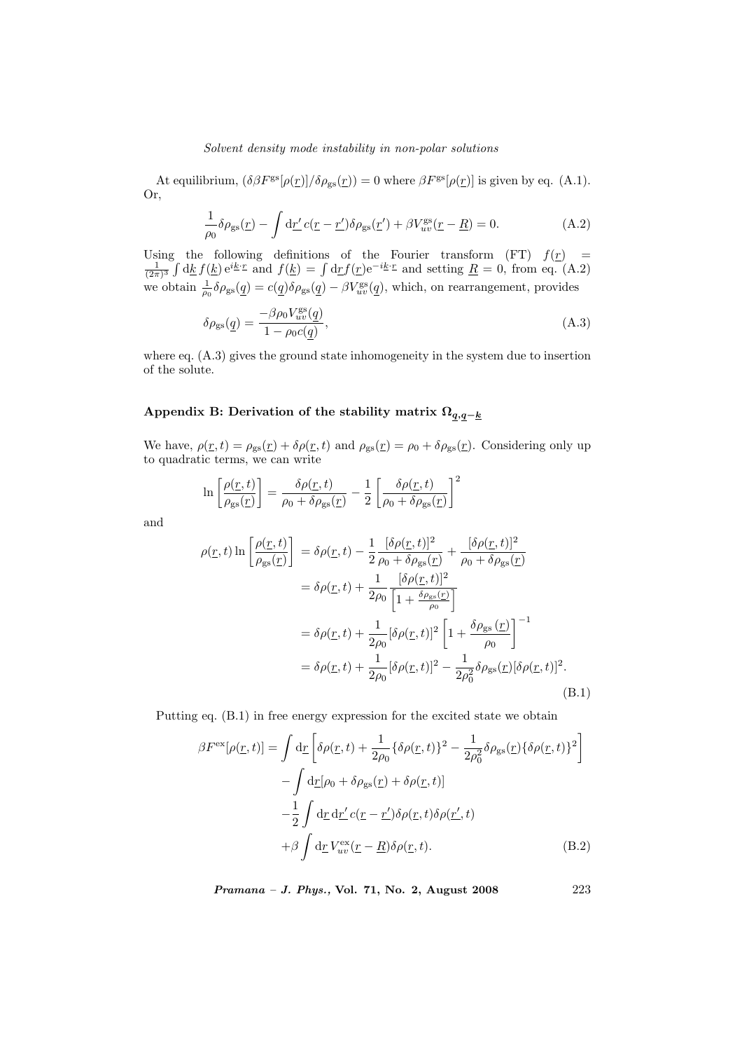At equilibrium,  $(\delta \beta F^{\rm gs}[\rho(\underline{r})]/\delta \rho_{\rm gs}(\underline{r})) = 0$  where  $\beta F^{\rm gs}[\rho(\underline{r})]$  is given by eq. (A.1). Or,

$$
\frac{1}{\rho_0} \delta \rho_{\rm gs}(\underline{r}) - \int \mathrm{d}\underline{r}' c(\underline{r} - \underline{r}') \delta \rho_{\rm gs}(\underline{r}') + \beta V_{uv}^{\rm gs}(\underline{r} - \underline{R}) = 0. \tag{A.2}
$$

Using the following definitions of the Fourier transform (FT)  $f(\underline{r}) = \frac{1}{(2\pi)^3} \int d\underline{k} f(\underline{k}) e^{i\underline{k} \cdot \underline{r}}$  and  $f(\underline{k}) = \int d\underline{r} f(\underline{r}) e^{-i\underline{k} \cdot \underline{r}}$  and setting  $\underline{R} = 0$ , from eq. (A.2) the following definitions of the Fourier transform (FT)  $f(\underline{r}) = \int d\underline{k} f(\underline{k}) e^{i\underline{k} \cdot \underline{r}}$  and  $f(\underline{k}) = \int d\underline{r} f(\underline{r}) e^{-i\underline{k} \cdot \underline{r}}$  and setting  $\underline{R} = 0$ , from eq. (A.2) we obtain  $\frac{1}{\rho_0} \delta \rho_{gs}(\underline{q}) = c(\underline{q}) \delta \rho_{gs}(\underline{q}) - \beta V_{uv}^{gs}(\underline{q})$ , which, on rearrangement, provides

$$
\delta \rho_{\rm gs}(\underline{q}) = \frac{-\beta \rho_0 V_{uv}^{\rm gs}(\underline{q})}{1 - \rho_0 c(q)},\tag{A.3}
$$

where eq. (A.3) gives the ground state inhomogeneity in the system due to insertion of the solute.

# Appendix B: Derivation of the stability matrix  $\Omega_{q,q-\underline{k}}$

We have,  $\rho(\underline{r}, t) = \rho_{gs}(\underline{r}) + \delta \rho(\underline{r}, t)$  and  $\rho_{gs}(\underline{r}) = \rho_0 + \delta \rho_{gs}(\underline{r})$ . Considering only up to quadratic terms, we can write

$$
\ln \left[ \frac{\rho(\underline{r}, t)}{\rho_{\rm gs}(\underline{r})} \right] = \frac{\delta \rho(\underline{r}, t)}{\rho_0 + \delta \rho_{\rm gs}(\underline{r})} - \frac{1}{2} \left[ \frac{\delta \rho(\underline{r}, t)}{\rho_0 + \delta \rho_{\rm gs}(\underline{r})} \right]^2
$$

and

$$
\rho(\underline{r},t)\ln\left[\frac{\rho(\underline{r},t)}{\rho_{\rm gs}(\underline{r})}\right] = \delta\rho(\underline{r},t) - \frac{1}{2}\frac{[\delta\rho(\underline{r},t)]^2}{\rho_0 + \delta\rho_{\rm gs}(\underline{r})} + \frac{[\delta\rho(\underline{r},t)]^2}{\rho_0 + \delta\rho_{\rm gs}(\underline{r})}
$$

$$
= \delta\rho(\underline{r},t) + \frac{1}{2\rho_0}\frac{[\delta\rho(\underline{r},t)]^2}{\left[1 + \frac{\delta\rho_{\rm gs}(\underline{r})}{\rho_0}\right]}
$$

$$
= \delta\rho(\underline{r},t) + \frac{1}{2\rho_0}[\delta\rho(\underline{r},t)]^2\left[1 + \frac{\delta\rho_{\rm gs}(\underline{r})}{\rho_0}\right]^{-1}
$$

$$
= \delta\rho(\underline{r},t) + \frac{1}{2\rho_0}[\delta\rho(\underline{r},t)]^2 - \frac{1}{2\rho_0^2}\delta\rho_{\rm gs}(\underline{r})[\delta\rho(\underline{r},t)]^2.
$$
(B.1)

Putting eq. (B.1) in free energy expression for the excited state we obtain

$$
\beta F^{\text{ex}}[\rho(\underline{r},t)] = \int \mathrm{d}\underline{r} \left[ \delta\rho(\underline{r},t) + \frac{1}{2\rho_0} \{ \delta\rho(\underline{r},t) \}^2 - \frac{1}{2\rho_0^2} \delta\rho_{\text{gs}}(\underline{r}) \{ \delta\rho(\underline{r},t) \}^2 \right] - \int \mathrm{d}\underline{r}[\rho_0 + \delta\rho_{\text{gs}}(\underline{r}) + \delta\rho(\underline{r},t)] - \frac{1}{2} \int \mathrm{d}\underline{r} \, \mathrm{d}\underline{r}' c(\underline{r}-\underline{r}') \delta\rho(\underline{r},t) \delta\rho(\underline{r}',t) + \beta \int \mathrm{d}\underline{r} \, V_{uv}^{\text{ex}}(\underline{r}-\underline{R}) \delta\rho(\underline{r},t). \tag{B.2}
$$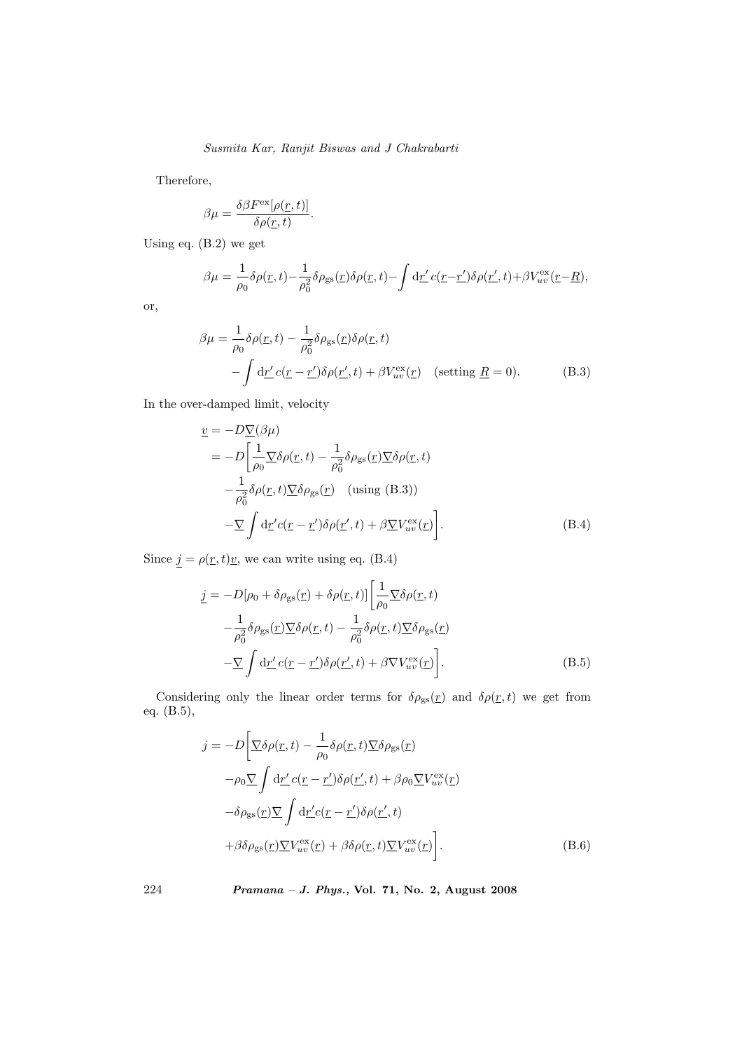Therefore,

$$
\beta \mu = \frac{\delta \beta F^{\text{ex}}[\rho(\underline{r},t)]}{\delta \rho(\underline{r},t)}.
$$

Using eq. (B.2) we get

$$
\beta \mu = \frac{1}{\rho_0} \delta \rho(\underline{r}, t) - \frac{1}{\rho_0^2} \delta \rho_{\rm gs}(\underline{r}) \delta \rho(\underline{r}, t) - \int \mathrm{d}\underline{r}' c(\underline{r} - \underline{r}') \delta \rho(\underline{r}', t) + \beta V_{uv}^{\rm ex}(\underline{r} - \underline{R}),
$$

or,

$$
\beta\mu = \frac{1}{\rho_0} \delta\rho(\underline{r}, t) - \frac{1}{\rho_0^2} \delta\rho_{\rm gs}(\underline{r}) \delta\rho(\underline{r}, t) \n- \int d\underline{r}' c(\underline{r} - \underline{r}') \delta\rho(\underline{r}', t) + \beta V_{uv}^{\rm ex}(\underline{r}) \quad \text{(setting } \underline{R} = 0). \tag{B.3}
$$

In the over-damped limit, velocity

$$
\underline{v} = -D\underline{\nabla}(\beta\mu)
$$
\n
$$
= -D\left[\frac{1}{\rho_0}\underline{\nabla}\delta\rho(\underline{r},t) - \frac{1}{\rho_0^2}\delta\rho_{\rm gs}(\underline{r})\underline{\nabla}\delta\rho(\underline{r},t)\right]
$$
\n
$$
-\frac{1}{\rho_0^2}\delta\rho(\underline{r},t)\underline{\nabla}\delta\rho_{\rm gs}(\underline{r}) \quad \text{(using (B.3))}
$$
\n
$$
-\underline{\nabla}\int d\underline{r}'c(\underline{r}-\underline{r}')\delta\rho(\underline{r}',t) + \beta\underline{\nabla}V_{uv}^{\rm ex}(\underline{r})\right]. \tag{B.4}
$$

Since  $\underline{j} = \rho(\underline{r},t)\underline{v}$ , we can write using eq. (B.4)

$$
\underline{j} = -D[\rho_0 + \delta \rho_{gs}(\underline{r}) + \delta \rho(\underline{r}, t)] \left[ \frac{1}{\rho_0} \nabla \delta \rho(\underline{r}, t) - \frac{1}{\rho_0^2} \delta \rho_{gs}(\underline{r}) \nabla \delta \rho(\underline{r}, t) - \frac{1}{\rho_0^2} \delta \rho(\underline{r}, t) \nabla \delta \rho_{gs}(\underline{r}) - \nabla \int d\underline{r}' c(\underline{r} - \underline{r}') \delta \rho(\underline{r}', t) + \beta \nabla V_{uv}^{\text{ex}}(\underline{r}) \right].
$$
\n(B.5)

Considering only the linear order terms for  $\delta \rho_{gs}(r)$  and  $\delta \rho(r, t)$  we get from eq. (B.5),

$$
j = -D\left[\underline{\nabla}\delta\rho(\underline{r},t) - \frac{1}{\rho_0}\delta\rho(\underline{r},t)\underline{\nabla}\delta\rho_{\rm gs}(\underline{r})\right]
$$

$$
-\rho_0 \underline{\nabla} \int d\underline{r}' c(\underline{r}-\underline{r}')\delta\rho(\underline{r}',t) + \beta\rho_0 \underline{\nabla}V_{uv}^{\rm ex}(\underline{r})
$$

$$
-\delta\rho_{\rm gs}(\underline{r})\underline{\nabla} \int d\underline{r}' c(\underline{r}-\underline{r}')\delta\rho(\underline{r}',t)
$$

$$
+\beta\delta\rho_{\rm gs}(\underline{r})\underline{\nabla}V_{uv}^{\rm ex}(\underline{r}) + \beta\delta\rho(\underline{r},t)\underline{\nabla}V_{uv}^{\rm ex}(\underline{r})\right].
$$
(B.6)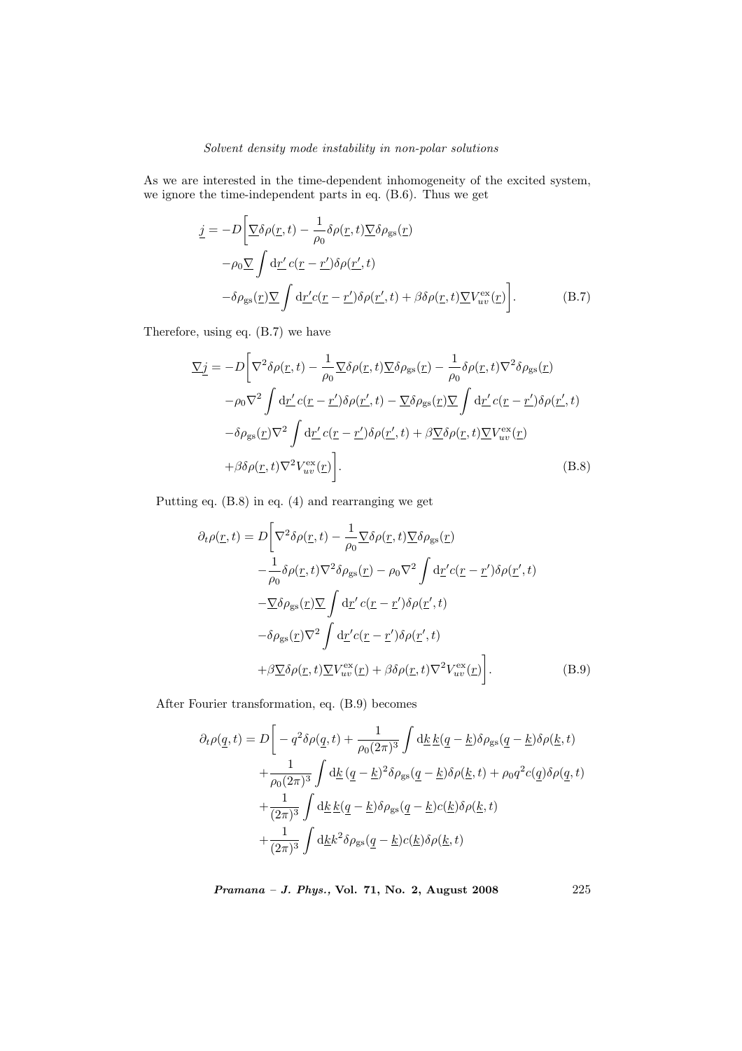As we are interested in the time-dependent inhomogeneity of the excited system, we ignore the time-independent parts in eq. (B.6). Thus we get

$$
\underline{j} = -D \left[ \nabla \delta \rho(\underline{r}, t) - \frac{1}{\rho_0} \delta \rho(\underline{r}, t) \nabla \delta \rho_{\rm gs}(\underline{r}) -\rho_0 \nabla \int d\underline{r}' c(\underline{r} - \underline{r}') \delta \rho(\underline{r}', t) -\delta \rho_{\rm gs}(\underline{r}) \nabla \int d\underline{r}' c(\underline{r} - \underline{r}') \delta \rho(\underline{r}', t) + \beta \delta \rho(\underline{r}, t) \nabla V_{uv}^{\rm ex}(\underline{r}) \right].
$$
\n(B.7)

Therefore, using eq. (B.7) we have

$$
\underline{\nabla} \underline{j} = -D \bigg[ \nabla^2 \delta \rho(\underline{r}, t) - \frac{1}{\rho_0} \nabla \delta \rho(\underline{r}, t) \underline{\nabla} \delta \rho_{\rm gs}(\underline{r}) - \frac{1}{\rho_0} \delta \rho(\underline{r}, t) \nabla^2 \delta \rho_{\rm gs}(\underline{r}) -\n\phantom{\nabla^2} \rho \nabla^2 \int d\underline{r}' c(\underline{r} - \underline{r}') \delta \rho(\underline{r}', t) - \nabla \delta \rho_{\rm gs}(\underline{r}) \underline{\nabla} \int d\underline{r}' c(\underline{r} - \underline{r}') \delta \rho(\underline{r}', t) -\n\delta \rho_{\rm gs}(\underline{r}) \nabla^2 \int d\underline{r}' c(\underline{r} - \underline{r}') \delta \rho(\underline{r}', t) + \beta \underline{\nabla} \delta \rho(\underline{r}, t) \underline{\nabla} V_{uv}^{\rm ex}(\underline{r}) +\n\beta \delta \rho(\underline{r}, t) \nabla^2 V_{uv}^{\rm ex}(\underline{r}) \bigg].
$$
\n(B.8)

Putting eq. (B.8) in eq. (4) and rearranging we get

$$
\partial_t \rho(\underline{r}, t) = D \bigg[ \nabla^2 \delta \rho(\underline{r}, t) - \frac{1}{\rho_0} \nabla \delta \rho(\underline{r}, t) \nabla \delta \rho_{\rm gs}(\underline{r}) - \frac{1}{\rho_0} \delta \rho(\underline{r}, t) \nabla^2 \delta \rho_{\rm gs}(\underline{r}) - \rho_0 \nabla^2 \int d\underline{r}' c(\underline{r} - \underline{r}') \delta \rho(\underline{r}', t) - \nabla \delta \rho_{\rm gs}(\underline{r}) \nabla \int d\underline{r}' c(\underline{r} - \underline{r}') \delta \rho(\underline{r}', t) - \delta \rho_{\rm gs}(\underline{r}) \nabla^2 \int d\underline{r}' c(\underline{r} - \underline{r}') \delta \rho(\underline{r}', t) + \beta \nabla \delta \rho(\underline{r}, t) \nabla^2 V_{uv}^{\rm ex}(\underline{r}) + \beta \delta \rho(\underline{r}, t) \nabla^2 V_{uv}^{\rm ex}(\underline{r}) \bigg]. \tag{B.9}
$$

After Fourier transformation, eq. (B.9) becomes

$$
\partial_t \rho(\underline{q}, t) = D \bigg[ -q^2 \delta \rho(\underline{q}, t) + \frac{1}{\rho_0 (2\pi)^3} \int \mathrm{d}\underline{k} \, \underline{k}(\underline{q} - \underline{k}) \delta \rho_{\mathrm{gs}}(\underline{q} - \underline{k}) \delta \rho(\underline{k}, t) \n+ \frac{1}{\rho_0 (2\pi)^3} \int \mathrm{d}\underline{k} \, (\underline{q} - \underline{k})^2 \delta \rho_{\mathrm{gs}}(\underline{q} - \underline{k}) \delta \rho(\underline{k}, t) + \rho_0 q^2 c(\underline{q}) \delta \rho(\underline{q}, t) \n+ \frac{1}{(2\pi)^3} \int \mathrm{d}\underline{k} \, \underline{k}(\underline{q} - \underline{k}) \delta \rho_{\mathrm{gs}}(\underline{q} - \underline{k}) c(\underline{k}) \delta \rho(\underline{k}, t) \n+ \frac{1}{(2\pi)^3} \int \mathrm{d}\underline{k} k^2 \delta \rho_{\mathrm{gs}}(\underline{q} - \underline{k}) c(\underline{k}) \delta \rho(\underline{k}, t)
$$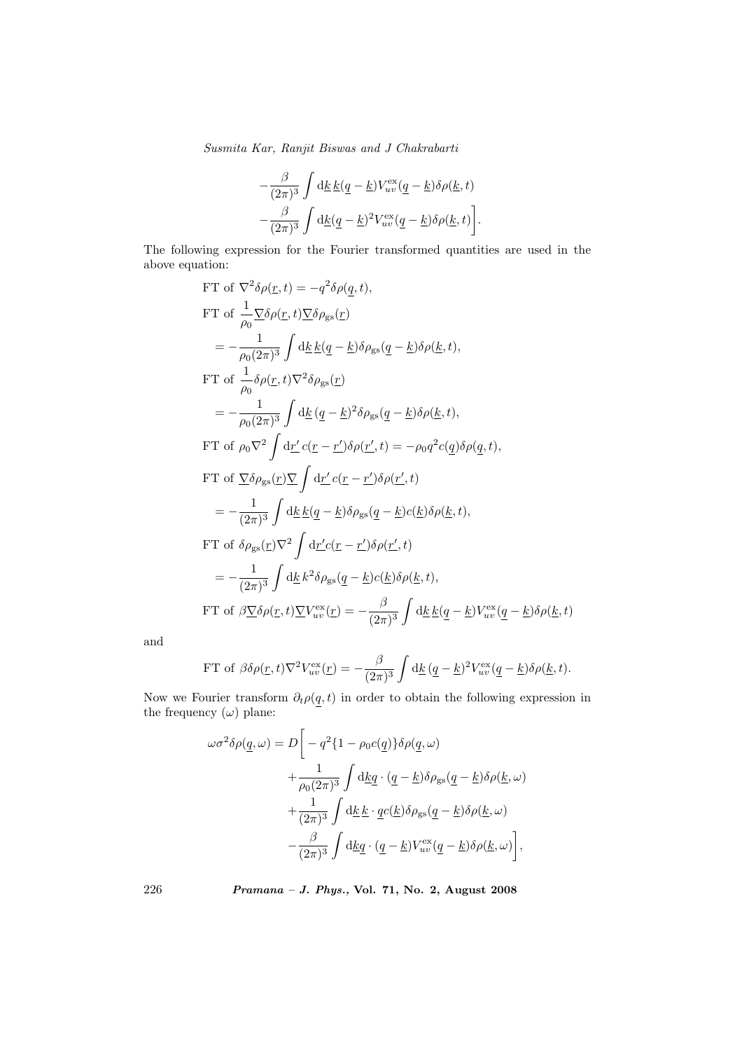$$
-\frac{\beta}{(2\pi)^3}\int \mathrm{d}\underline{k}\,\underline{k}(\underline{q}-\underline{k})V_{uv}^{\text{ex}}(\underline{q}-\underline{k})\delta\rho(\underline{k},t)\\-\frac{\beta}{(2\pi)^3}\int \mathrm{d}\underline{k}(\underline{q}-\underline{k})^2V_{uv}^{\text{ex}}(\underline{q}-\underline{k})\delta\rho(\underline{k},t)\bigg].
$$

The following expression for the Fourier transformed quantities are used in the above equation:

FT of 
$$
\nabla^2 \delta \rho(\underline{r}, t) = -q^2 \delta \rho(\underline{q}, t),
$$
  
\nFT of  $\frac{1}{\rho_0} \nabla \delta \rho(\underline{r}, t) \nabla \delta \rho_{\text{gs}}(\underline{r})$   
\n $= -\frac{1}{\rho_0 (2\pi)^3} \int d\underline{k} \underline{k}(\underline{q} - \underline{k}) \delta \rho_{\text{gs}}(\underline{q} - \underline{k}) \delta \rho(\underline{k}, t),$   
\nFT of  $\frac{1}{\rho_0} \delta \rho(\underline{r}, t) \nabla^2 \delta \rho_{\text{gs}}(\underline{r})$   
\n $= -\frac{1}{\rho_0 (2\pi)^3} \int d\underline{k} (\underline{q} - \underline{k})^2 \delta \rho_{\text{gs}}(\underline{q} - \underline{k}) \delta \rho(\underline{k}, t),$   
\nFT of  $\rho_0 \nabla^2 \int d\underline{r}' c(\underline{r} - \underline{r}') \delta \rho(\underline{r}', t) = -\rho_0 q^2 c(\underline{q}) \delta \rho(\underline{q}, t),$   
\nFT of  $\nabla \delta \rho_{\text{gs}}(\underline{r}) \nabla \int d\underline{r}' c(\underline{r} - \underline{r}') \delta \rho(\underline{r}', t)$   
\n $= -\frac{1}{(2\pi)^3} \int d\underline{k} \underline{k}(\underline{q} - \underline{k}) \delta \rho_{\text{gs}}(\underline{q} - \underline{k}) c(\underline{k}) \delta \rho(\underline{k}, t),$   
\nFT of  $\delta \rho_{\text{gs}}(\underline{r}) \nabla^2 \int d\underline{r}' c(\underline{r} - \underline{r}') \delta \rho(\underline{r}', t)$   
\n $= -\frac{1}{(2\pi)^3} \int d\underline{k} k^2 \delta \rho_{\text{gs}}(\underline{q} - \underline{k}) c(\underline{k}) \delta \rho(\underline{k}, t),$   
\nFT of  $\beta \nabla \delta \rho(\underline{r}, t) \nabla V_{uv}^{\text{ex}}(\underline{r}) = -\frac{\beta}{(2\pi)^3} \int d\underline{k} \underline{k}(\underline{q} - \underline{k}) V_{uv}^{\text{ex}}(\underline{q} - \underline{k}) \delta \rho(\underline{k}, t)$ 

and

FT of 
$$
\beta \delta \rho(\underline{r}, t) \nabla^2 V_{uv}^{\text{ex}}(\underline{r}) = -\frac{\beta}{(2\pi)^3} \int d\underline{k} (\underline{q} - \underline{k})^2 V_{uv}^{\text{ex}} (\underline{q} - \underline{k}) \delta \rho(\underline{k}, t).
$$

Now we Fourier transform  $\partial_t \rho(\underline{q}, t)$  in order to obtain the following expression in the frequency  $(\omega)$  plane:

$$
\omega \sigma^2 \delta \rho(\underline{q}, \omega) = D \bigg[ -q^2 \{ 1 - \rho_0 c(\underline{q}) \} \delta \rho(\underline{q}, \omega) \n+ \frac{1}{\rho_0 (2\pi)^3} \int d\underline{k} \underline{q} \cdot (\underline{q} - \underline{k}) \delta \rho_{\rm gs}(\underline{q} - \underline{k}) \delta \rho(\underline{k}, \omega) \n+ \frac{1}{(2\pi)^3} \int d\underline{k} \,\underline{k} \cdot \underline{q} c(\underline{k}) \delta \rho_{\rm gs}(\underline{q} - \underline{k}) \delta \rho(\underline{k}, \omega) \n- \frac{\beta}{(2\pi)^3} \int d\underline{k} \underline{q} \cdot (\underline{q} - \underline{k}) V_{uv}^{\rm ex}(\underline{q} - \underline{k}) \delta \rho(\underline{k}, \omega) \bigg],
$$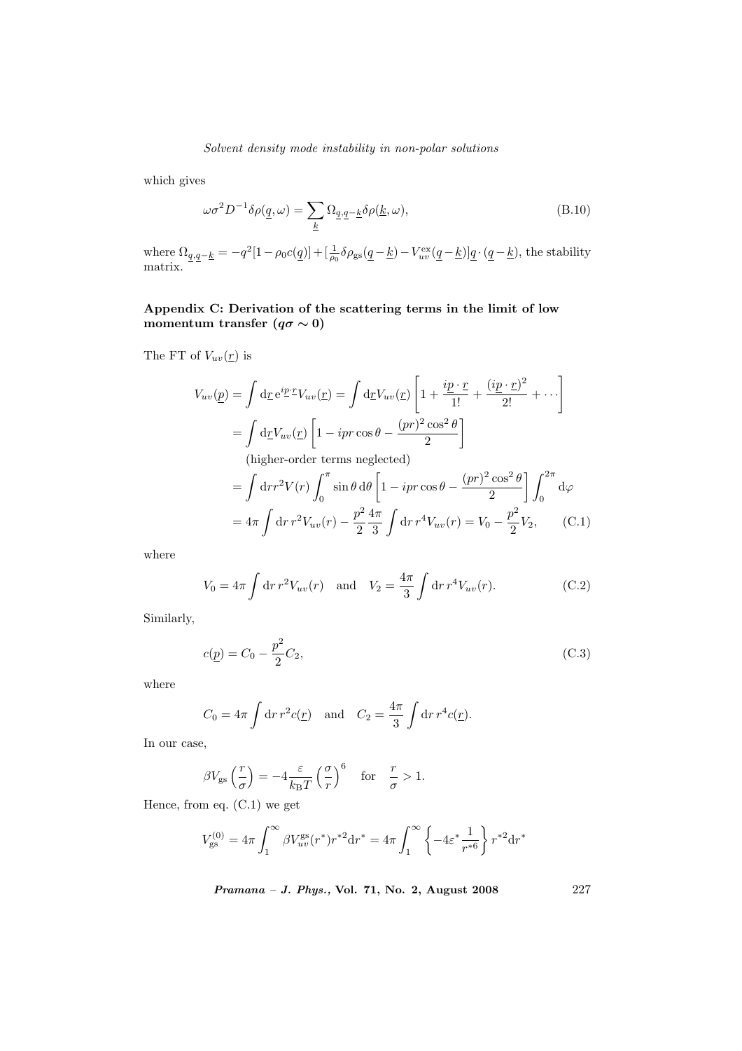which gives

$$
\omega \sigma^2 D^{-1} \delta \rho(\underline{q}, \omega) = \sum_{\underline{k}} \Omega_{\underline{q}, \underline{q} - \underline{k}} \delta \rho(\underline{k}, \omega), \tag{B.10}
$$

where  $\Omega_{q,q-\underline{k}} = -q^2[1-\rho_0 c(\underline{q})] + [\frac{1}{\rho_0}\delta\rho_{\rm gs}(\underline{q}-\underline{k}) - V_{uv}^{\rm ex}(\underline{q}-\underline{k})]\underline{q}\cdot(\underline{q}-\underline{k})$ , the stability matrix.

# Appendix C: Derivation of the scattering terms in the limit of low momentum transfer  $(q\sigma \sim 0)$

The FT of  $V_{uv}(\underline{r})$  is

$$
V_{uv}(\underline{p}) = \int d\underline{r} e^{i\underline{p} \cdot \underline{r}} V_{uv}(\underline{r}) = \int d\underline{r} V_{uv}(\underline{r}) \left[ 1 + \frac{i\underline{p} \cdot \underline{r}}{1!} + \frac{(i\underline{p} \cdot \underline{r})^2}{2!} + \cdots \right]
$$
  
\n
$$
= \int d\underline{r} V_{uv}(\underline{r}) \left[ 1 - ipr \cos \theta - \frac{(pr)^2 \cos^2 \theta}{2} \right]
$$
  
\n(higher-order terms neglected)  
\n
$$
= \int dr r^2 V(r) \int_0^\pi \sin \theta d\theta \left[ 1 - ipr \cos \theta - \frac{(pr)^2 \cos^2 \theta}{2} \right] \int_0^{2\pi} d\varphi
$$
  
\n
$$
= 4\pi \int dr r^2 V_{uv}(r) - \frac{p^2}{2} \frac{4\pi}{3} \int dr r^4 V_{uv}(r) = V_0 - \frac{p^2}{2} V_2,
$$
 (C.1)

where

$$
V_0 = 4\pi \int dr r^2 V_{uv}(r) \text{ and } V_2 = \frac{4\pi}{3} \int dr r^4 V_{uv}(r).
$$
 (C.2)

Similarly,

$$
c(\underline{p}) = C_0 - \frac{p^2}{2}C_2,
$$
\n(C.3)

where

$$
C_0 = 4\pi \int dr r^2 c(\mathbf{r})
$$
 and  $C_2 = \frac{4\pi}{3} \int dr r^4 c(\mathbf{r}).$ 

In our case,

$$
\beta V_{\rm gs}\left(\frac{r}{\sigma}\right) = -4\frac{\varepsilon}{k_{\rm B}T}\left(\frac{\sigma}{r}\right)^6 \quad \text{for} \quad \frac{r}{\sigma} > 1.
$$

Hence, from eq. (C.1) we get

$$
V_{\rm gs}^{(0)} = 4\pi \int_1^\infty \beta V_{uv}^{\rm gs}(r^*) r^{*2} \mathrm{d} r^* = 4\pi \int_1^\infty \left\{-4\varepsilon^* \frac{1}{r^{*6}}\right\} r^{*2} \mathrm{d} r^*
$$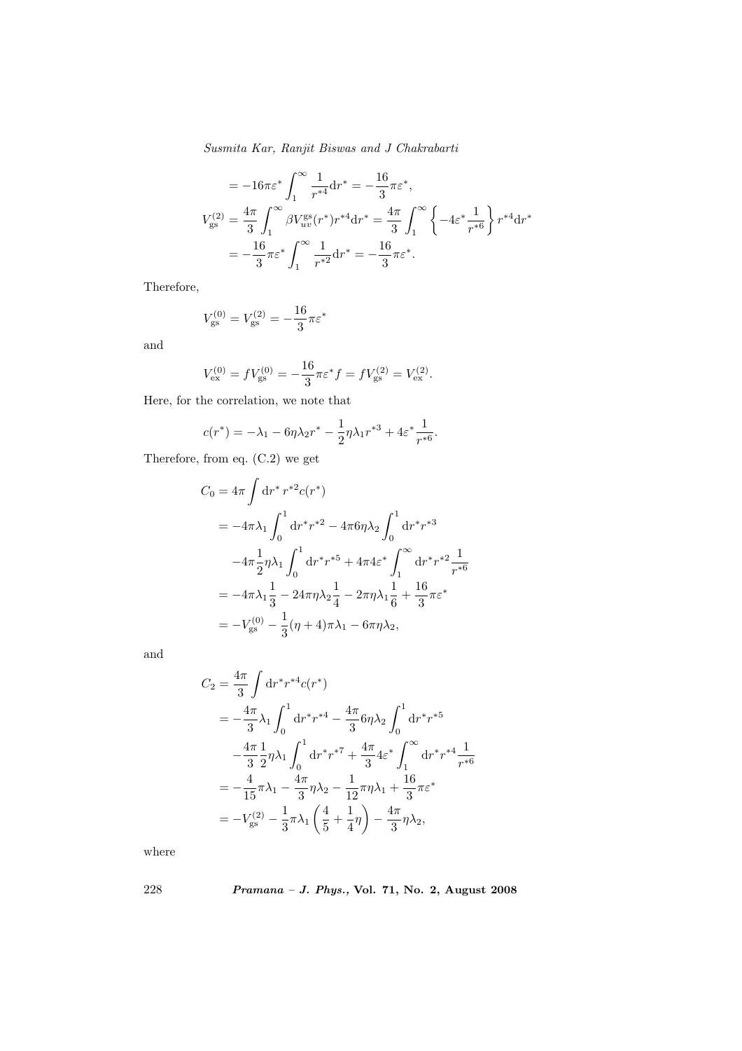$$
= -16\pi\varepsilon^* \int_1^\infty \frac{1}{r^{*4}} dr^* = -\frac{16}{3}\pi\varepsilon^*,
$$
  

$$
V_{gs}^{(2)} = \frac{4\pi}{3} \int_1^\infty \beta V_{uv}^{gs}(r^*) r^{*4} dr^* = \frac{4\pi}{3} \int_1^\infty \left\{-4\varepsilon^* \frac{1}{r^{*6}}\right\} r^{*4} dr^*
$$

$$
= -\frac{16}{3} \pi\varepsilon^* \int_1^\infty \frac{1}{r^{*2}} dr^* = -\frac{16}{3} \pi\varepsilon^*.
$$

Therefore,

$$
V_{\rm gs}^{(0)} = V_{\rm gs}^{(2)} = -\frac{16}{3}\pi \varepsilon^*
$$

and

$$
V_{\text{ex}}^{(0)} = fV_{\text{gs}}^{(0)} = -\frac{16}{3}\pi \varepsilon^* f = fV_{\text{gs}}^{(2)} = V_{\text{ex}}^{(2)}.
$$

Here, for the correlation, we note that

$$
c(r^*) = -\lambda_1 - 6\eta \lambda_2 r^* - \frac{1}{2} \eta \lambda_1 r^{*3} + 4\varepsilon^* \frac{1}{r^{*6}}.
$$

Therefore, from eq. (C.2) we get

$$
C_0 = 4\pi \int dr^* r^{*2} c(r^*)
$$
  
=  $-4\pi \lambda_1 \int_0^1 dr^* r^{*2} - 4\pi 6\eta \lambda_2 \int_0^1 dr^* r^{*3}$   
 $-4\pi \frac{1}{2} \eta \lambda_1 \int_0^1 dr^* r^{*5} + 4\pi 4\epsilon^* \int_1^\infty dr^* r^{*2} \frac{1}{r^{*6}}$   
=  $-4\pi \lambda_1 \frac{1}{3} - 24\pi \eta \lambda_2 \frac{1}{4} - 2\pi \eta \lambda_1 \frac{1}{6} + \frac{16}{3} \pi \epsilon^*$   
=  $-V_{gs}^{(0)} - \frac{1}{3} (\eta + 4) \pi \lambda_1 - 6\pi \eta \lambda_2$ ,

and

$$
C_2 = \frac{4\pi}{3} \int \mathrm{d}r^* r^{*4} c(r^*)
$$
  
=  $-\frac{4\pi}{3} \lambda_1 \int_0^1 \mathrm{d}r^* r^{*4} - \frac{4\pi}{3} 6\eta \lambda_2 \int_0^1 \mathrm{d}r^* r^{*5}$   
 $-\frac{4\pi}{3} \frac{1}{2} \eta \lambda_1 \int_0^1 \mathrm{d}r^* r^{*7} + \frac{4\pi}{3} 4\varepsilon^* \int_1^\infty \mathrm{d}r^* r^{*4} \frac{1}{r^{*6}}$   
=  $-\frac{4}{15} \pi \lambda_1 - \frac{4\pi}{3} \eta \lambda_2 - \frac{1}{12} \pi \eta \lambda_1 + \frac{16}{3} \pi \varepsilon^*$   
=  $-V_{\text{gs}}^{(2)} - \frac{1}{3} \pi \lambda_1 \left(\frac{4}{5} + \frac{1}{4} \eta\right) - \frac{4\pi}{3} \eta \lambda_2$ ,

where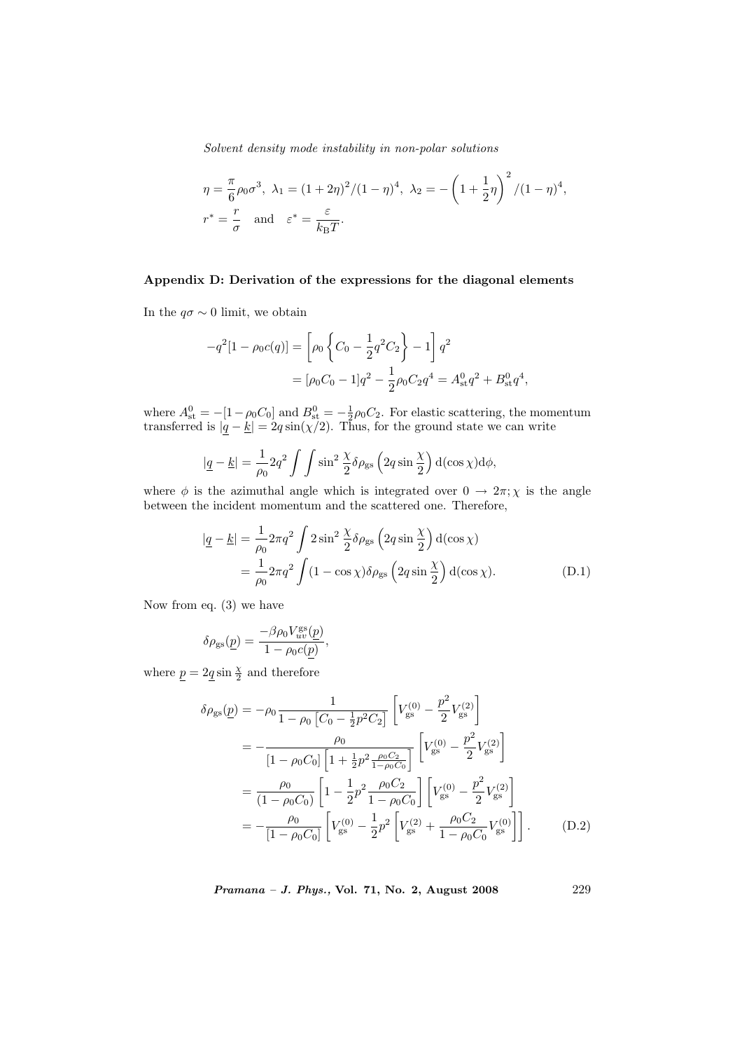$$
\eta = \frac{\pi}{6} \rho_0 \sigma^3, \ \lambda_1 = (1 + 2\eta)^2 / (1 - \eta)^4, \ \lambda_2 = -\left(1 + \frac{1}{2}\eta\right)^2 / (1 - \eta)^4,
$$
  

$$
r^* = \frac{r}{\sigma} \quad \text{and} \quad \varepsilon^* = \frac{\varepsilon}{k_{\text{B}}T}.
$$

# Appendix D: Derivation of the expressions for the diagonal elements

In the  $q\sigma \sim 0$  limit, we obtain

$$
-q^{2}[1 - \rho_{0}c(q)] = \left[\rho_{0}\left\{C_{0} - \frac{1}{2}q^{2}C_{2}\right\} - 1\right]q^{2}
$$

$$
= [\rho_{0}C_{0} - 1]q^{2} - \frac{1}{2}\rho_{0}C_{2}q^{4} = A_{\text{st}}^{0}q^{2} + B_{\text{st}}^{0}q^{4},
$$

where  $A_{\text{st}}^0 = -[1 - \rho_0 C_0]$  and  $B_{\text{st}}^0 = -\frac{1}{2}\rho_0 C_2$ . For elastic scattering, the momentum transferred is  $|q - k| = 2q \sin(\chi/2)$ . Thus, for the ground state we can write

$$
|\underline{q} - \underline{k}| = \frac{1}{\rho_0} 2q^2 \int \int \sin^2 \frac{\chi}{2} \delta \rho_{\rm gs} \left( 2q \sin \frac{\chi}{2} \right) d(\cos \chi) d\phi,
$$

where  $\phi$  is the azimuthal angle which is integrated over  $0 \to 2\pi$ ;  $\chi$  is the angle between the incident momentum and the scattered one. Therefore,

$$
|\underline{q} - \underline{k}| = \frac{1}{\rho_0} 2\pi q^2 \int 2\sin^2 \frac{\chi}{2} \delta \rho_{\rm gs} \left( 2q \sin \frac{\chi}{2} \right) d(\cos \chi)
$$
  

$$
= \frac{1}{\rho_0} 2\pi q^2 \int (1 - \cos \chi) \delta \rho_{\rm gs} \left( 2q \sin \frac{\chi}{2} \right) d(\cos \chi). \tag{D.1}
$$

Now from eq. (3) we have

$$
\delta\rho_{\rm gs}(\underline{p})=\frac{-\beta\rho_0V_{uv}^{\rm gs}(\underline{p})}{1-\rho_0c(\underline{p})},
$$

where  $\underline{p} = 2\underline{q} \sin \frac{\chi}{2}$  and therefore

$$
\delta \rho_{\rm gs}(p) = -\rho_0 \frac{1}{1 - \rho_0 \left[C_0 - \frac{1}{2}p^2 C_2\right]} \left[V_{\rm gs}^{(0)} - \frac{p^2}{2} V_{\rm gs}^{(2)}\right]
$$
  
\n
$$
= -\frac{\rho_0}{\left[1 - \rho_0 C_0\right] \left[1 + \frac{1}{2}p^2 \frac{\rho_0 C_2}{1 - \rho_0 C_0}\right]} \left[V_{\rm gs}^{(0)} - \frac{p^2}{2} V_{\rm gs}^{(2)}\right]
$$
  
\n
$$
= \frac{\rho_0}{\left(1 - \rho_0 C_0\right)} \left[1 - \frac{1}{2}p^2 \frac{\rho_0 C_2}{1 - \rho_0 C_0}\right] \left[V_{\rm gs}^{(0)} - \frac{p^2}{2} V_{\rm gs}^{(2)}\right]
$$
  
\n
$$
= -\frac{\rho_0}{\left[1 - \rho_0 C_0\right]} \left[V_{\rm gs}^{(0)} - \frac{1}{2}p^2 \left[V_{\rm gs}^{(2)} + \frac{\rho_0 C_2}{1 - \rho_0 C_0} V_{\rm gs}^{(0)}\right]\right].
$$
 (D.2)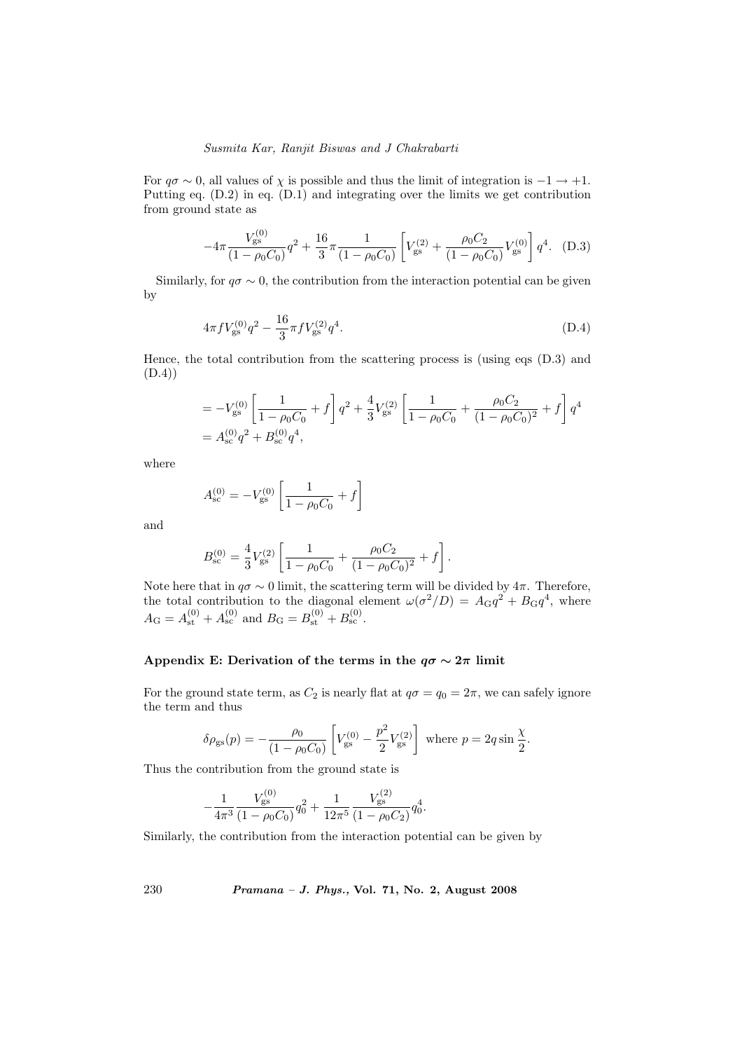For  $q\sigma \sim 0$ , all values of  $\chi$  is possible and thus the limit of integration is  $-1 \to +1$ . Putting eq. (D.2) in eq. (D.1) and integrating over the limits we get contribution from ground state as

$$
-4\pi \frac{V_{\rm gs}^{(0)}}{(1-\rho_0 C_0)}q^2 + \frac{16}{3}\pi \frac{1}{(1-\rho_0 C_0)} \left[ V_{\rm gs}^{(2)} + \frac{\rho_0 C_2}{(1-\rho_0 C_0)} V_{\rm gs}^{(0)} \right] q^4. \quad (D.3)
$$

Similarly, for  $q\sigma \sim 0$ , the contribution from the interaction potential can be given by

$$
4\pi f V_{\rm gs}^{(0)} q^2 - \frac{16}{3} \pi f V_{\rm gs}^{(2)} q^4. \tag{D.4}
$$

Hence, the total contribution from the scattering process is (using eqs (D.3) and (D.4))

$$
= -V_{\text{gs}}^{(0)} \left[ \frac{1}{1 - \rho_0 C_0} + f \right] q^2 + \frac{4}{3} V_{\text{gs}}^{(2)} \left[ \frac{1}{1 - \rho_0 C_0} + \frac{\rho_0 C_2}{(1 - \rho_0 C_0)^2} + f \right] q^4
$$
  
=  $A_{\text{sc}}^{(0)} q^2 + B_{\text{sc}}^{(0)} q^4$ ,

where

$$
A_{\rm sc}^{(0)} = -V_{\rm gs}^{(0)} \left[ \frac{1}{1 - \rho_0 C_0} + f \right]
$$

and

$$
B_{\rm sc}^{(0)} = \frac{4}{3} V_{\rm gs}^{(2)} \left[ \frac{1}{1 - \rho_0 C_0} + \frac{\rho_0 C_2}{(1 - \rho_0 C_0)^2} + f \right].
$$

Note here that in  $q\sigma \sim 0$  limit, the scattering term will be divided by  $4\pi$ . Therefore, the total contribution to the diagonal element  $\omega(\sigma^2/D) = A_{\rm G}q^2 + B_{\rm G}q^4$ , where  $A_{\rm G} = A_{\rm st}^{(0)} + A_{\rm sc}^{(0)}$  and  $B_{\rm G} = B_{\rm st}^{(0)} + B_{\rm sc}^{(0)}$ .

## Appendix E: Derivation of the terms in the  $q\sigma \sim 2\pi$  limit

For the ground state term, as  $C_2$  is nearly flat at  $q\sigma = q_0 = 2\pi$ , we can safely ignore the term and thus

$$
\delta \rho_{\rm gs}(p) = -\frac{\rho_0}{(1 - \rho_0 C_0)} \left[ V_{\rm gs}^{(0)} - \frac{p^2}{2} V_{\rm gs}^{(2)} \right] \text{ where } p = 2q \sin \frac{\chi}{2}.
$$

Thus the contribution from the ground state is

$$
-\frac{1}{4\pi^3} \frac{V_{\rm gs}^{(0)}}{(1-\rho_0 C_0)} q_0^2 + \frac{1}{12\pi^5} \frac{V_{\rm gs}^{(2)}}{(1-\rho_0 C_2)} q_0^4.
$$

Similarly, the contribution from the interaction potential can be given by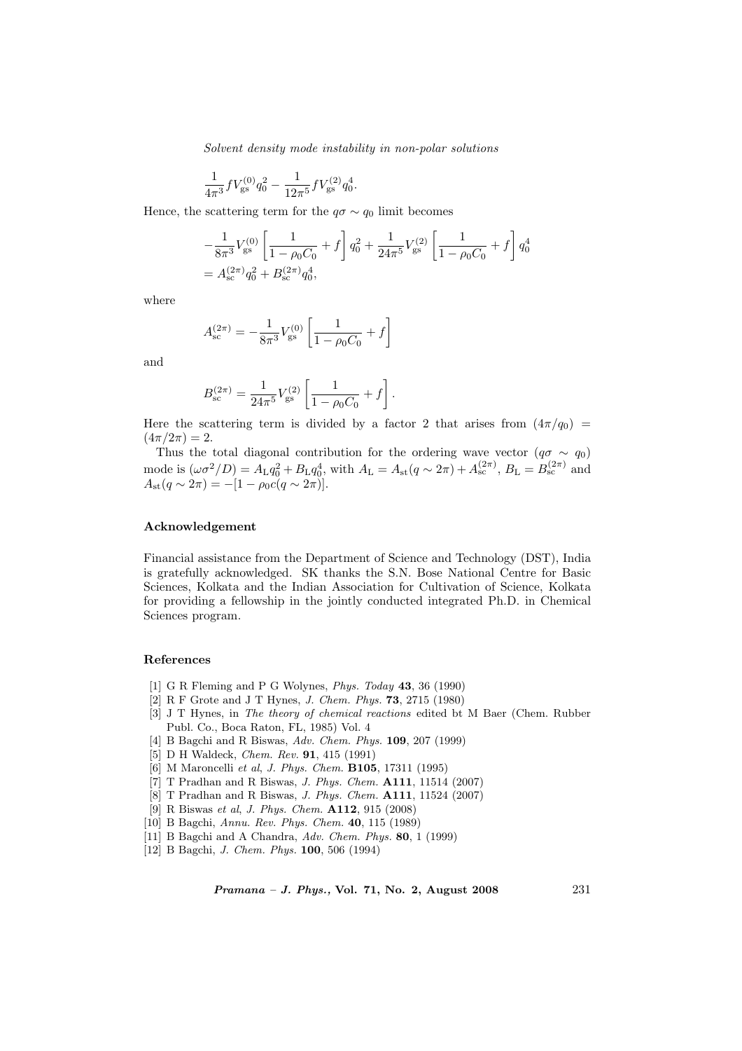$$
\frac{1}{4\pi^3} f V_{\rm gs}^{(0)} q_0^2 - \frac{1}{12\pi^5} f V_{\rm gs}^{(2)} q_0^4.
$$

Hence, the scattering term for the  $q\sigma \sim q_0$  limit becomes

$$
-\frac{1}{8\pi^3}V_{\rm gs}^{(0)}\left[\frac{1}{1-\rho_0C_0}+f\right]q_0^2+\frac{1}{24\pi^5}V_{\rm gs}^{(2)}\left[\frac{1}{1-\rho_0C_0}+f\right]q_0^4
$$
  
=  $A_{\rm sc}^{(2\pi)}q_0^2+B_{\rm sc}^{(2\pi)}q_0^4$ ,

where

$$
A_{\rm sc}^{(2\pi)} = -\frac{1}{8\pi^3} V_{\rm gs}^{(0)} \left[ \frac{1}{1 - \rho_0 C_0} + f \right]
$$

and

$$
B_{\rm sc}^{(2\pi)} = \frac{1}{24\pi^5} V_{\rm gs}^{(2)} \left[ \frac{1}{1 - \rho_0 C_0} + f \right].
$$

Here the scattering term is divided by a factor 2 that arises from  $(4\pi/q_0)$  =  $(4\pi/2\pi) = 2.$ 

Thus the total diagonal contribution for the ordering wave vector  $(q\sigma \sim q_0)$ mode is  $(\omega \sigma^2/D) = A_{\text{L}} q_0^2 + B_{\text{L}} q_0^4$ , with  $A_{\text{L}} = A_{\text{st}}(q \sim 2\pi) + A_{\text{sc}}^{(2\pi)}$ ,  $B_{\text{L}} = B_{\text{sc}}^{(2\pi)}$  and  $A_{\rm st}(q \sim 2\pi) = -[1 - \rho_0 c(q \sim 2\pi)].$ 

#### Acknowledgement

Financial assistance from the Department of Science and Technology (DST), India is gratefully acknowledged. SK thanks the S.N. Bose National Centre for Basic Sciences, Kolkata and the Indian Association for Cultivation of Science, Kolkata for providing a fellowship in the jointly conducted integrated Ph.D. in Chemical Sciences program.

#### References

- [1] G R Fleming and P G Wolynes, Phys. Today 43, 36 (1990)
- [2] R F Grote and J T Hynes, J. Chem. Phys. 73, 2715 (1980)
- [3] J T Hynes, in The theory of chemical reactions edited bt M Baer (Chem. Rubber Publ. Co., Boca Raton, FL, 1985) Vol. 4
- [4] B Bagchi and R Biswas, Adv. Chem. Phys. **109**, 207 (1999)
- [5] D H Waldeck, *Chem. Rev.* **91**, 415 (1991)
- [6] M Maroncelli et al, J. Phys. Chem. B105, 17311 (1995)
- [7] T Pradhan and R Biswas, J. Phys. Chem. A111, 11514 (2007)
- [8] T Pradhan and R Biswas, J. Phys. Chem. A111, 11524 (2007)
- [9] R Biswas et al, J. Phys. Chem. A112, 915 (2008)
- [10] B Bagchi, Annu. Rev. Phys. Chem. 40, 115 (1989)
- [11] B Bagchi and A Chandra, Adv. Chem. Phys. 80, 1 (1999)
- [12] B Bagchi, J. Chem. Phys. 100, 506 (1994)